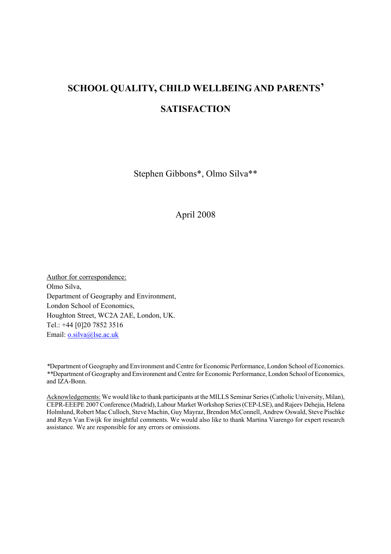# **SCHOOL QUALITY, CHILD WELLBEING AND PARENTS' SATISFACTION**

Stephen Gibbons\*, Olmo Silva\*\*

April 2008

Author for correspondence: Olmo Silva, Department of Geography and Environment, London School of Economics, Houghton Street, WC2A 2AE, London, UK. Tel.: +44 [0]20 7852 3516 Email: o.silva@lse.ac.uk

*\**Department of Geography and Environment and Centre for Economic Performance, London School of Economics. *\*\**Department of Geography and Environment and Centre for Economic Performance, London School of Economics, and IZA-Bonn.

Acknowledgements: We would like to thank participants at the MILLS Seminar Series (Catholic University, Milan), CEPR-EEEPE 2007 Conference (Madrid), Labour Market Workshop Series (CEP-LSE), and Rajeev Dehejia, Helena Holmlund, Robert Mac Culloch, Steve Machin, Guy Mayraz, Brendon McConnell, Andrew Oswald, Steve Pischke and Reyn Van Ewijk for insightful comments. We would also like to thank Martina Viarengo for expert research assistance. We are responsible for any errors or omissions.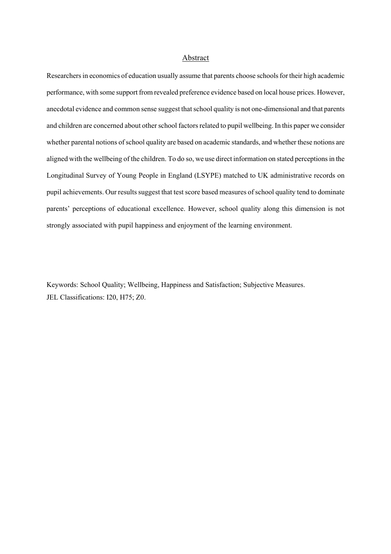#### Abstract

Researchers in economics of education usually assume that parents choose schools for their high academic performance, with some support from revealed preference evidence based on local house prices. However, anecdotal evidence and common sense suggest that school quality is not one-dimensional and that parents and children are concerned about other school factors related to pupil wellbeing. In this paper we consider whether parental notions of school quality are based on academic standards, and whether these notions are aligned with the wellbeing of the children. To do so, we use direct information on stated perceptions in the Longitudinal Survey of Young People in England (LSYPE) matched to UK administrative records on pupil achievements. Our results suggest that test score based measures of school quality tend to dominate parents' perceptions of educational excellence. However, school quality along this dimension is not strongly associated with pupil happiness and enjoyment of the learning environment.

Keywords: School Quality; Wellbeing, Happiness and Satisfaction; Subjective Measures. JEL Classifications: I20, H75; Z0.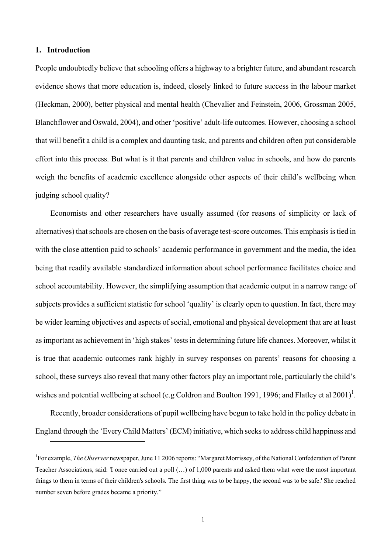#### **1. Introduction**

 $\overline{a}$ 

People undoubtedly believe that schooling offers a highway to a brighter future, and abundant research evidence shows that more education is, indeed, closely linked to future success in the labour market (Heckman, 2000), better physical and mental health (Chevalier and Feinstein, 2006, Grossman 2005, Blanchflower and Oswald, 2004), and other 'positive' adult-life outcomes. However, choosing a school that will benefit a child is a complex and daunting task, and parents and children often put considerable effort into this process. But what is it that parents and children value in schools, and how do parents weigh the benefits of academic excellence alongside other aspects of their child's wellbeing when judging school quality?

Economists and other researchers have usually assumed (for reasons of simplicity or lack of alternatives) that schools are chosen on the basis of average test-score outcomes. This emphasis is tied in with the close attention paid to schools' academic performance in government and the media, the idea being that readily available standardized information about school performance facilitates choice and school accountability. However, the simplifying assumption that academic output in a narrow range of subjects provides a sufficient statistic for school 'quality' is clearly open to question. In fact, there may be wider learning objectives and aspects of social, emotional and physical development that are at least as important as achievement in 'high stakes' tests in determining future life chances. Moreover, whilst it is true that academic outcomes rank highly in survey responses on parents' reasons for choosing a school, these surveys also reveal that many other factors play an important role, particularly the child's wishes and potential wellbeing at school (e.g Coldron and Boulton 1991, 1996; and Flatley et al 2001)<sup>1</sup>.

Recently, broader considerations of pupil wellbeing have begun to take hold in the policy debate in England through the 'Every Child Matters' (ECM) initiative, which seeks to address child happiness and

<sup>&</sup>lt;sup>1</sup>For example, *The Observer* newspaper, June 11 2006 reports: "Margaret Morrissey, of the National Confederation of Parent Teacher Associations, said: 'I once carried out a poll (…) of 1,000 parents and asked them what were the most important things to them in terms of their children's schools. The first thing was to be happy, the second was to be safe.' She reached number seven before grades became a priority."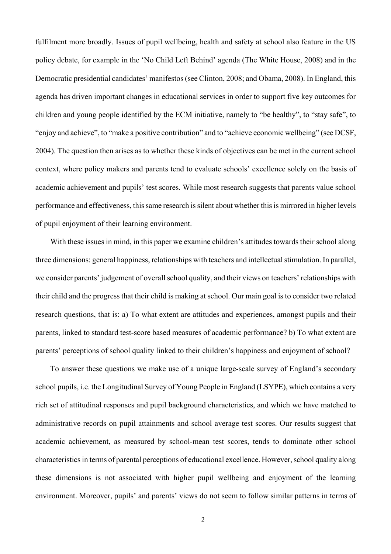fulfilment more broadly. Issues of pupil wellbeing, health and safety at school also feature in the US policy debate, for example in the 'No Child Left Behind' agenda (The White House, 2008) and in the Democratic presidential candidates' manifestos (see Clinton, 2008; and Obama, 2008). In England, this agenda has driven important changes in educational services in order to support five key outcomes for children and young people identified by the ECM initiative, namely to "be healthy", to "stay safe", to "enjoy and achieve", to "make a positive contribution" and to "achieve economic wellbeing" (see DCSF, 2004). The question then arises as to whether these kinds of objectives can be met in the current school context, where policy makers and parents tend to evaluate schools' excellence solely on the basis of academic achievement and pupils' test scores. While most research suggests that parents value school performance and effectiveness, this same research is silent about whether this is mirrored in higher levels of pupil enjoyment of their learning environment.

With these issues in mind, in this paper we examine children's attitudes towards their school along three dimensions: general happiness, relationships with teachers and intellectual stimulation. In parallel, we consider parents' judgement of overall school quality, and their views on teachers' relationships with their child and the progress that their child is making at school. Our main goal is to consider two related research questions, that is: a) To what extent are attitudes and experiences, amongst pupils and their parents, linked to standard test-score based measures of academic performance? b) To what extent are parents' perceptions of school quality linked to their children's happiness and enjoyment of school?

To answer these questions we make use of a unique large-scale survey of England's secondary school pupils, i.e. the Longitudinal Survey of Young People in England (LSYPE), which contains a very rich set of attitudinal responses and pupil background characteristics, and which we have matched to administrative records on pupil attainments and school average test scores. Our results suggest that academic achievement, as measured by school-mean test scores, tends to dominate other school characteristics in terms of parental perceptions of educational excellence. However, school quality along these dimensions is not associated with higher pupil wellbeing and enjoyment of the learning environment. Moreover, pupils' and parents' views do not seem to follow similar patterns in terms of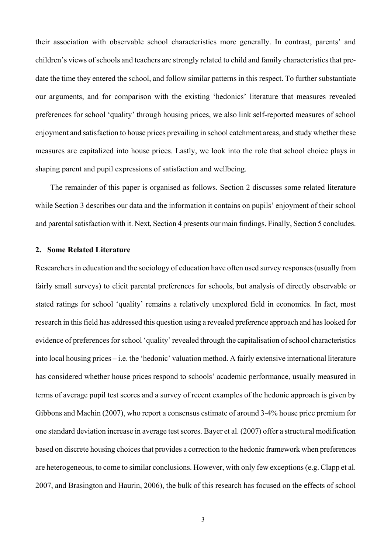their association with observable school characteristics more generally. In contrast, parents' and children's views of schools and teachers are strongly related to child and family characteristics that predate the time they entered the school, and follow similar patterns in this respect. To further substantiate our arguments, and for comparison with the existing 'hedonics' literature that measures revealed preferences for school 'quality' through housing prices, we also link self-reported measures of school enjoyment and satisfaction to house prices prevailing in school catchment areas, and study whether these measures are capitalized into house prices. Lastly, we look into the role that school choice plays in shaping parent and pupil expressions of satisfaction and wellbeing.

The remainder of this paper is organised as follows. Section 2 discusses some related literature while Section 3 describes our data and the information it contains on pupils' enjoyment of their school and parental satisfaction with it. Next, Section 4 presents our main findings. Finally, Section 5 concludes.

#### **2. Some Related Literature**

Researchers in education and the sociology of education have often used survey responses (usually from fairly small surveys) to elicit parental preferences for schools, but analysis of directly observable or stated ratings for school 'quality' remains a relatively unexplored field in economics. In fact, most research in this field has addressed this question using a revealed preference approach and has looked for evidence of preferences for school 'quality' revealed through the capitalisation of school characteristics into local housing prices – i.e. the 'hedonic' valuation method. A fairly extensive international literature has considered whether house prices respond to schools' academic performance, usually measured in terms of average pupil test scores and a survey of recent examples of the hedonic approach is given by Gibbons and Machin (2007), who report a consensus estimate of around 3-4% house price premium for one standard deviation increase in average test scores. Bayer et al. (2007) offer a structural modification based on discrete housing choices that provides a correction to the hedonic framework when preferences are heterogeneous, to come to similar conclusions. However, with only few exceptions (e.g. Clapp et al. 2007, and Brasington and Haurin, 2006), the bulk of this research has focused on the effects of school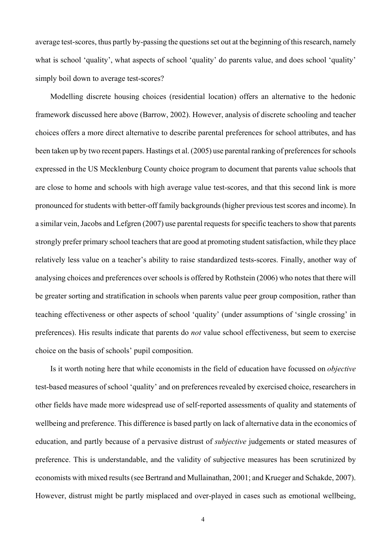average test-scores, thus partly by-passing the questions set out at the beginning of this research, namely what is school 'quality', what aspects of school 'quality' do parents value, and does school 'quality' simply boil down to average test-scores?

Modelling discrete housing choices (residential location) offers an alternative to the hedonic framework discussed here above (Barrow, 2002). However, analysis of discrete schooling and teacher choices offers a more direct alternative to describe parental preferences for school attributes, and has been taken up by two recent papers. Hastings et al. (2005) use parental ranking of preferences for schools expressed in the US Mecklenburg County choice program to document that parents value schools that are close to home and schools with high average value test-scores, and that this second link is more pronounced for students with better-off family backgrounds (higher previous test scores and income). In a similar vein, Jacobs and Lefgren (2007) use parental requests for specific teachers to show that parents strongly prefer primary school teachers that are good at promoting student satisfaction, while they place relatively less value on a teacher's ability to raise standardized tests-scores. Finally, another way of analysing choices and preferences over schools is offered by Rothstein (2006) who notes that there will be greater sorting and stratification in schools when parents value peer group composition, rather than teaching effectiveness or other aspects of school 'quality' (under assumptions of 'single crossing' in preferences). His results indicate that parents do *not* value school effectiveness, but seem to exercise choice on the basis of schools' pupil composition.

Is it worth noting here that while economists in the field of education have focussed on *objective* test-based measures of school 'quality' and on preferences revealed by exercised choice, researchers in other fields have made more widespread use of self-reported assessments of quality and statements of wellbeing and preference. This difference is based partly on lack of alternative data in the economics of education, and partly because of a pervasive distrust of *subjective* judgements or stated measures of preference. This is understandable, and the validity of subjective measures has been scrutinized by economists with mixed results (see Bertrand and Mullainathan, 2001; and Krueger and Schakde, 2007). However, distrust might be partly misplaced and over-played in cases such as emotional wellbeing,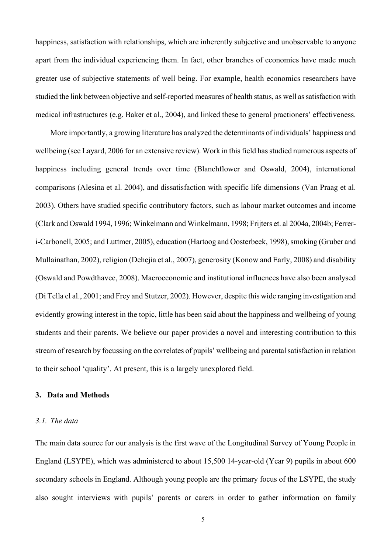happiness, satisfaction with relationships, which are inherently subjective and unobservable to anyone apart from the individual experiencing them. In fact, other branches of economics have made much greater use of subjective statements of well being. For example, health economics researchers have studied the link between objective and self-reported measures of health status, as well as satisfaction with medical infrastructures (e.g. Baker et al., 2004), and linked these to general practioners' effectiveness.

More importantly, a growing literature has analyzed the determinants of individuals' happiness and wellbeing (see Layard, 2006 for an extensive review). Work in this field has studied numerous aspects of happiness including general trends over time (Blanchflower and Oswald, 2004), international comparisons (Alesina et al. 2004), and dissatisfaction with specific life dimensions (Van Praag et al. 2003). Others have studied specific contributory factors, such as labour market outcomes and income (Clark and Oswald 1994, 1996; Winkelmann and Winkelmann, 1998; Frijters et. al 2004a, 2004b; Ferreri-Carbonell, 2005; and Luttmer, 2005), education (Hartoog and Oosterbeek, 1998), smoking (Gruber and Mullainathan, 2002), religion (Dehejia et al., 2007), generosity (Konow and Early, 2008) and disability (Oswald and Powdthavee, 2008). Macroeconomic and institutional influences have also been analysed (Di Tella el al., 2001; and Frey and Stutzer, 2002). However, despite this wide ranging investigation and evidently growing interest in the topic, little has been said about the happiness and wellbeing of young students and their parents. We believe our paper provides a novel and interesting contribution to this stream of research by focussing on the correlates of pupils' wellbeing and parental satisfaction in relation to their school 'quality'. At present, this is a largely unexplored field.

#### **3. Data and Methods**

#### *3.1. The data*

The main data source for our analysis is the first wave of the Longitudinal Survey of Young People in England (LSYPE), which was administered to about 15,500 14-year-old (Year 9) pupils in about 600 secondary schools in England. Although young people are the primary focus of the LSYPE, the study also sought interviews with pupils' parents or carers in order to gather information on family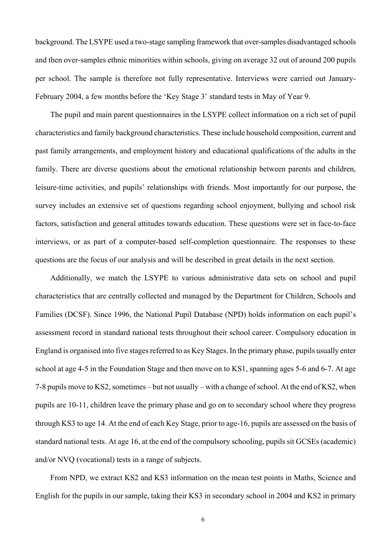background. The LSYPE used a two-stage sampling framework that over-samples disadvantaged schools and then over-samples ethnic minorities within schools, giving on average 32 out of around 200 pupils per school. The sample is therefore not fully representative. Interviews were carried out January-February 2004, a few months before the 'Key Stage 3' standard tests in May of Year 9.

The pupil and main parent questionnaires in the LSYPE collect information on a rich set of pupil characteristics and family background characteristics. These include household composition, current and past family arrangements, and employment history and educational qualifications of the adults in the family. There are diverse questions about the emotional relationship between parents and children, leisure-time activities, and pupils' relationships with friends. Most importantly for our purpose, the survey includes an extensive set of questions regarding school enjoyment, bullying and school risk factors, satisfaction and general attitudes towards education. These questions were set in face-to-face interviews, or as part of a computer-based self-completion questionnaire. The responses to these questions are the focus of our analysis and will be described in great details in the next section.

Additionally, we match the LSYPE to various administrative data sets on school and pupil characteristics that are centrally collected and managed by the Department for Children, Schools and Families (DCSF). Since 1996, the National Pupil Database (NPD) holds information on each pupil's assessment record in standard national tests throughout their school career. Compulsory education in England is organised into five stages referred to as Key Stages. In the primary phase, pupils usually enter school at age 4-5 in the Foundation Stage and then move on to KS1, spanning ages 5-6 and 6-7. At age 7-8 pupils move to KS2, sometimes – but not usually – with a change of school. At the end of KS2, when pupils are 10-11, children leave the primary phase and go on to secondary school where they progress through KS3 to age 14. At the end of each Key Stage, prior to age-16, pupils are assessed on the basis of standard national tests. At age 16, at the end of the compulsory schooling, pupils sit GCSEs (academic) and/or NVQ (vocational) tests in a range of subjects.

From NPD, we extract KS2 and KS3 information on the mean test points in Maths, Science and English for the pupils in our sample, taking their KS3 in secondary school in 2004 and KS2 in primary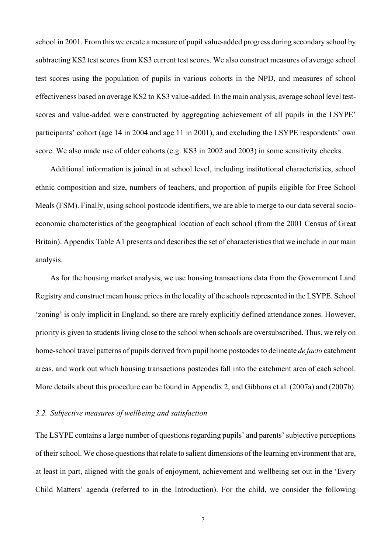school in 2001. From this we create a measure of pupil value-added progress during secondary school by subtracting KS2 test scores from KS3 current test scores. We also construct measures of average school test scores using the population of pupils in various cohorts in the NPD, and measures of school effectiveness based on average KS2 to KS3 value-added. In the main analysis, average school level testscores and value-added were constructed by aggregating achievement of all pupils in the LSYPE' participants' cohort (age 14 in 2004 and age 11 in 2001), and excluding the LSYPE respondents' own score. We also made use of older cohorts (e.g. KS3 in 2002 and 2003) in some sensitivity checks.

Additional information is joined in at school level, including institutional characteristics, school ethnic composition and size, numbers of teachers, and proportion of pupils eligible for Free School Meals (FSM). Finally, using school postcode identifiers, we are able to merge to our data several socioeconomic characteristics of the geographical location of each school (from the 2001 Census of Great Britain). Appendix Table A1 presents and describes the set of characteristics that we include in our main analysis.

As for the housing market analysis, we use housing transactions data from the Government Land Registry and construct mean house prices in the locality of the schools represented in the LSYPE. School 'zoning' is only implicit in England, so there are rarely explicitly defined attendance zones. However, priority is given to students living close to the school when schools are oversubscribed. Thus, we rely on home-school travel patterns of pupils derived from pupil home postcodes to delineate *de facto* catchment areas, and work out which housing transactions postcodes fall into the catchment area of each school. More details about this procedure can be found in Appendix 2, and Gibbons et al. (2007a) and (2007b).

#### *3.2. Subjective measures of wellbeing and satisfaction*

The LSYPE contains a large number of questions regarding pupils' and parents' subjective perceptions of their school. We chose questions that relate to salient dimensions of the learning environment that are, at least in part, aligned with the goals of enjoyment, achievement and wellbeing set out in the 'Every Child Matters' agenda (referred to in the Introduction). For the child, we consider the following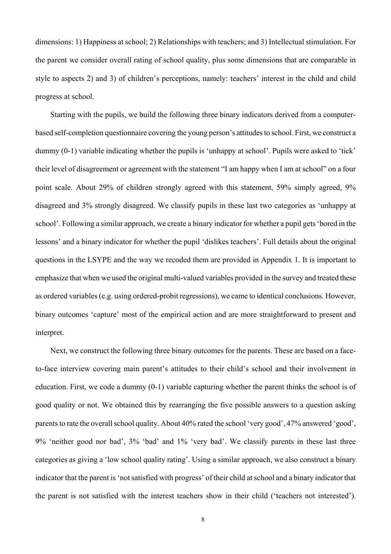dimensions: 1) Happiness at school; 2) Relationships with teachers; and 3) Intellectual stimulation. For the parent we consider overall rating of school quality, plus some dimensions that are comparable in style to aspects 2) and 3) of children's perceptions, namely: teachers' interest in the child and child progress at school.

Starting with the pupils, we build the following three binary indicators derived from a computerbased self-completion questionnaire covering the young person's attitudes to school. First, we construct a dummy (0-1) variable indicating whether the pupils is 'unhappy at school'. Pupils were asked to 'tick' their level of disagreement or agreement with the statement "I am happy when I am at school" on a four point scale. About 29% of children strongly agreed with this statement, 59% simply agreed, 9% disagreed and 3% strongly disagreed. We classify pupils in these last two categories as 'unhappy at school'. Following a similar approach, we create a binary indicator for whether a pupil gets 'bored in the lessons' and a binary indicator for whether the pupil 'dislikes teachers'. Full details about the original questions in the LSYPE and the way we recoded them are provided in Appendix 1. It is important to emphasize that when we used the original multi-valued variables provided in the survey and treated these as ordered variables (e.g. using ordered-probit regressions), we came to identical conclusions. However, binary outcomes 'capture' most of the empirical action and are more straightforward to present and interpret.

Next, we construct the following three binary outcomes for the parents. These are based on a faceto-face interview covering main parent's attitudes to their child's school and their involvement in education. First, we code a dummy (0-1) variable capturing whether the parent thinks the school is of good quality or not. We obtained this by rearranging the five possible answers to a question asking parents to rate the overall school quality. About 40% rated the school 'very good', 47% answered 'good', 9% 'neither good nor bad', 3% 'bad' and 1% 'very bad'. We classify parents in these last three categories as giving a 'low school quality rating'. Using a similar approach, we also construct a binary indicator that the parent is 'not satisfied with progress' of their child at school and a binary indicator that the parent is not satisfied with the interest teachers show in their child ('teachers not interested').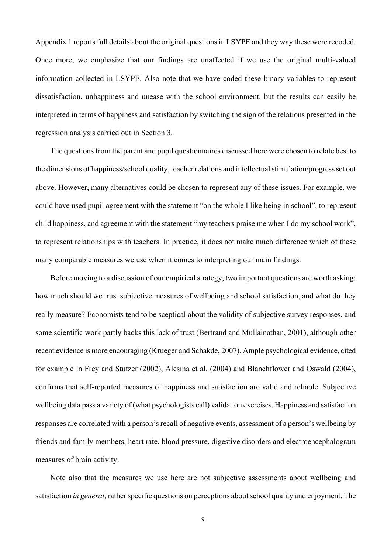Appendix 1 reports full details about the original questions in LSYPE and they way these were recoded. Once more, we emphasize that our findings are unaffected if we use the original multi-valued information collected in LSYPE. Also note that we have coded these binary variables to represent dissatisfaction, unhappiness and unease with the school environment, but the results can easily be interpreted in terms of happiness and satisfaction by switching the sign of the relations presented in the regression analysis carried out in Section 3.

The questions from the parent and pupil questionnaires discussed here were chosen to relate best to the dimensions of happiness/school quality, teacher relations and intellectual stimulation/progress set out above. However, many alternatives could be chosen to represent any of these issues. For example, we could have used pupil agreement with the statement "on the whole I like being in school", to represent child happiness, and agreement with the statement "my teachers praise me when I do my school work", to represent relationships with teachers. In practice, it does not make much difference which of these many comparable measures we use when it comes to interpreting our main findings.

Before moving to a discussion of our empirical strategy, two important questions are worth asking: how much should we trust subjective measures of wellbeing and school satisfaction, and what do they really measure? Economists tend to be sceptical about the validity of subjective survey responses, and some scientific work partly backs this lack of trust (Bertrand and Mullainathan, 2001), although other recent evidence is more encouraging (Krueger and Schakde, 2007). Ample psychological evidence, cited for example in Frey and Stutzer (2002), Alesina et al. (2004) and Blanchflower and Oswald (2004), confirms that self-reported measures of happiness and satisfaction are valid and reliable. Subjective wellbeing data pass a variety of (what psychologists call) validation exercises. Happiness and satisfaction responses are correlated with a person's recall of negative events, assessment of a person's wellbeing by friends and family members, heart rate, blood pressure, digestive disorders and electroencephalogram measures of brain activity.

Note also that the measures we use here are not subjective assessments about wellbeing and satisfaction *in general*, rather specific questions on perceptions about school quality and enjoyment. The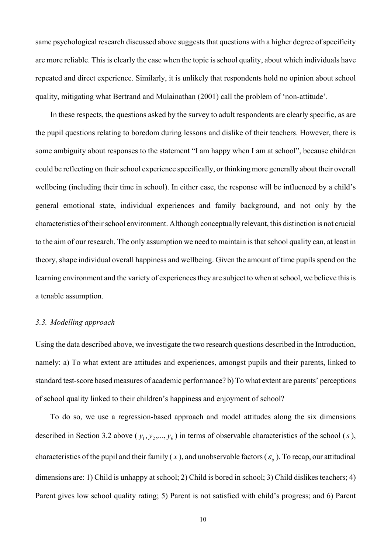same psychological research discussed above suggests that questions with a higher degree of specificity are more reliable. This is clearly the case when the topic is school quality, about which individuals have repeated and direct experience. Similarly, it is unlikely that respondents hold no opinion about school quality, mitigating what Bertrand and Mulainathan (2001) call the problem of 'non-attitude'.

In these respects, the questions asked by the survey to adult respondents are clearly specific, as are the pupil questions relating to boredom during lessons and dislike of their teachers. However, there is some ambiguity about responses to the statement "I am happy when I am at school", because children could be reflecting on their school experience specifically, or thinking more generally about their overall wellbeing (including their time in school). In either case, the response will be influenced by a child's general emotional state, individual experiences and family background, and not only by the characteristics of their school environment. Although conceptually relevant, this distinction is not crucial to the aim of our research. The only assumption we need to maintain is that school quality can, at least in theory, shape individual overall happiness and wellbeing. Given the amount of time pupils spend on the learning environment and the variety of experiences they are subject to when at school, we believe this is a tenable assumption.

#### *3.3. Modelling approach*

Using the data described above, we investigate the two research questions described in the Introduction, namely: a) To what extent are attitudes and experiences, amongst pupils and their parents, linked to standard test-score based measures of academic performance? b) To what extent are parents' perceptions of school quality linked to their children's happiness and enjoyment of school?

To do so, we use a regression-based approach and model attitudes along the six dimensions described in Section 3.2 above ( $y_1, y_2, ..., y_6$ ) in terms of observable characteristics of the school (*s*), characteristics of the pupil and their family ( $x$ ), and unobservable factors ( $\varepsilon$ <sub>ii</sub>). To recap, our attitudinal dimensions are: 1) Child is unhappy at school; 2) Child is bored in school; 3) Child dislikes teachers; 4) Parent gives low school quality rating; 5) Parent is not satisfied with child's progress; and 6) Parent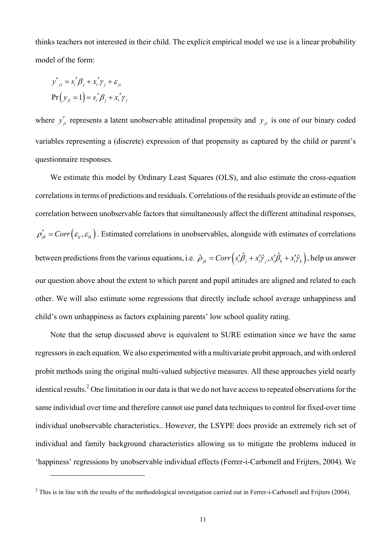thinks teachers not interested in their child. The explicit empirical model we use is a linear probability model of the form:

$$
y^*_{ji} = s'_i \beta_j + x'_i \gamma_j + \varepsilon_{ji}
$$
  
Pr $(y_{ji} = 1)$  =  $s'_i \beta_j + x'_i \gamma_j$ 

 $\overline{a}$ 

where  $y_{ji}^*$  represents a latent unobservable attitudinal propensity and  $y_{ji}$  is one of our binary coded variables representing a (discrete) expression of that propensity as captured by the child or parent's questionnaire responses.

We estimate this model by Ordinary Least Squares (OLS), and also estimate the cross-equation correlations in terms of predictions and residuals. Correlations of the residuals provide an estimate of the correlation between unobservable factors that simultaneously affect the different attitudinal responses,  $\rho_{ik}^* = Corr(\varepsilon_{ii}, \varepsilon_{ik})$ . Estimated correlations in unobservables, alongside with estimates of correlations between predictions from the various equations, i.e.  $\hat{\rho}_{jk} = Corr (s'_i \hat{\beta}_j + x'_i \hat{\gamma}_j, s'_i \hat{\beta}_k + x'_i \hat{\gamma}_k)$ , help us answer our question above about the extent to which parent and pupil attitudes are aligned and related to each other. We will also estimate some regressions that directly include school average unhappiness and child's own unhappiness as factors explaining parents' low school quality rating.

Note that the setup discussed above is equivalent to SURE estimation since we have the same regressors in each equation. We also experimented with a multivariate probit approach, and with ordered probit methods using the original multi-valued subjective measures. All these approaches yield nearly identical results.<sup>2</sup> One limitation in our data is that we do not have access to repeated observations for the same individual over time and therefore cannot use panel data techniques to control for fixed-over time individual unobservable characteristics.. However, the LSYPE does provide an extremely rich set of individual and family background characteristics allowing us to mitigate the problems induced in 'happiness' regressions by unobservable individual effects (Ferrer-i-Carbonell and Frijters, 2004). We

 $2$  This is in line with the results of the methodological investigation carried out in Ferrer-i-Carbonell and Frijters (2004).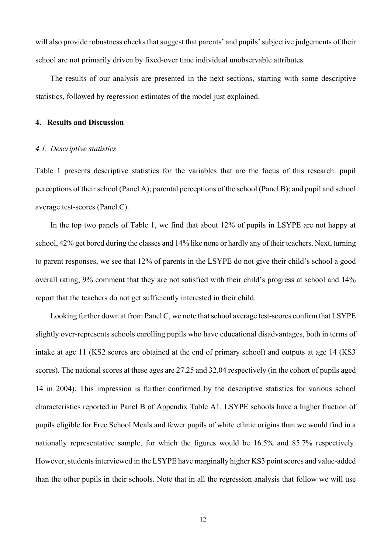will also provide robustness checks that suggest that parents' and pupils' subjective judgements of their school are not primarily driven by fixed-over time individual unobservable attributes.

The results of our analysis are presented in the next sections, starting with some descriptive statistics, followed by regression estimates of the model just explained.

#### **4. Results and Discussion**

#### *4.1. Descriptive statistics*

Table 1 presents descriptive statistics for the variables that are the focus of this research: pupil perceptions of their school (Panel A); parental perceptions of the school (Panel B); and pupil and school average test-scores (Panel C).

In the top two panels of Table 1, we find that about 12% of pupils in LSYPE are not happy at school, 42% get bored during the classes and 14% like none or hardly any of their teachers. Next, turning to parent responses, we see that 12% of parents in the LSYPE do not give their child's school a good overall rating, 9% comment that they are not satisfied with their child's progress at school and 14% report that the teachers do not get sufficiently interested in their child.

Looking further down at from Panel C, we note that school average test-scores confirm that LSYPE slightly over-represents schools enrolling pupils who have educational disadvantages, both in terms of intake at age 11 (KS2 scores are obtained at the end of primary school) and outputs at age 14 (KS3 scores). The national scores at these ages are 27.25 and 32.04 respectively (in the cohort of pupils aged 14 in 2004). This impression is further confirmed by the descriptive statistics for various school characteristics reported in Panel B of Appendix Table A1. LSYPE schools have a higher fraction of pupils eligible for Free School Meals and fewer pupils of white ethnic origins than we would find in a nationally representative sample, for which the figures would be 16.5% and 85.7% respectively. However, students interviewed in the LSYPE have marginally higher KS3 point scores and value-added than the other pupils in their schools. Note that in all the regression analysis that follow we will use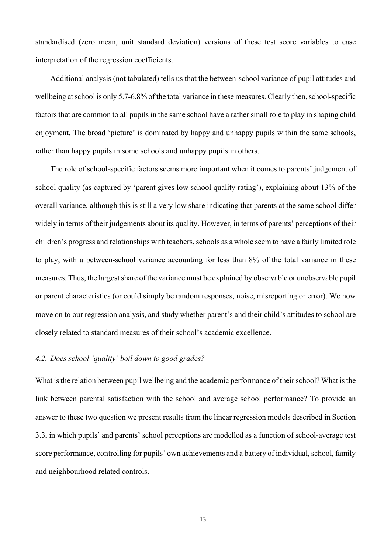standardised (zero mean, unit standard deviation) versions of these test score variables to ease interpretation of the regression coefficients.

Additional analysis (not tabulated) tells us that the between-school variance of pupil attitudes and wellbeing at school is only 5.7-6.8% of the total variance in these measures. Clearly then, school-specific factors that are common to all pupils in the same school have a rather small role to play in shaping child enjoyment. The broad 'picture' is dominated by happy and unhappy pupils within the same schools, rather than happy pupils in some schools and unhappy pupils in others.

The role of school-specific factors seems more important when it comes to parents' judgement of school quality (as captured by 'parent gives low school quality rating'), explaining about 13% of the overall variance, although this is still a very low share indicating that parents at the same school differ widely in terms of their judgements about its quality. However, in terms of parents' perceptions of their children's progress and relationships with teachers, schools as a whole seem to have a fairly limited role to play, with a between-school variance accounting for less than 8% of the total variance in these measures. Thus, the largest share of the variance must be explained by observable or unobservable pupil or parent characteristics (or could simply be random responses, noise, misreporting or error). We now move on to our regression analysis, and study whether parent's and their child's attitudes to school are closely related to standard measures of their school's academic excellence.

#### *4.2. Does school 'quality' boil down to good grades?*

What is the relation between pupil wellbeing and the academic performance of their school? What is the link between parental satisfaction with the school and average school performance? To provide an answer to these two question we present results from the linear regression models described in Section 3.3, in which pupils' and parents' school perceptions are modelled as a function of school-average test score performance, controlling for pupils' own achievements and a battery of individual, school, family and neighbourhood related controls.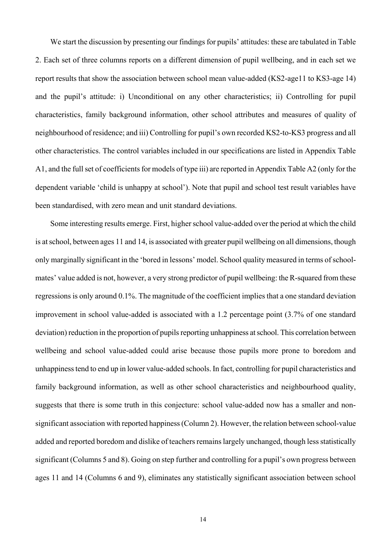We start the discussion by presenting our findings for pupils' attitudes: these are tabulated in Table 2. Each set of three columns reports on a different dimension of pupil wellbeing, and in each set we report results that show the association between school mean value-added (KS2-age11 to KS3-age 14) and the pupil's attitude: i) Unconditional on any other characteristics; ii) Controlling for pupil characteristics, family background information, other school attributes and measures of quality of neighbourhood of residence; and iii) Controlling for pupil's own recorded KS2-to-KS3 progress and all other characteristics. The control variables included in our specifications are listed in Appendix Table A1, and the full set of coefficients for models of type iii) are reported in Appendix Table A2 (only for the dependent variable 'child is unhappy at school'). Note that pupil and school test result variables have been standardised, with zero mean and unit standard deviations.

Some interesting results emerge. First, higher school value-added over the period at which the child is at school, between ages 11 and 14, is associated with greater pupil wellbeing on all dimensions, though only marginally significant in the 'bored in lessons' model. School quality measured in terms of schoolmates' value added is not, however, a very strong predictor of pupil wellbeing: the R-squared from these regressions is only around 0.1%. The magnitude of the coefficient implies that a one standard deviation improvement in school value-added is associated with a 1.2 percentage point (3.7% of one standard deviation) reduction in the proportion of pupils reporting unhappiness at school. This correlation between wellbeing and school value-added could arise because those pupils more prone to boredom and unhappiness tend to end up in lower value-added schools. In fact, controlling for pupil characteristics and family background information, as well as other school characteristics and neighbourhood quality, suggests that there is some truth in this conjecture: school value-added now has a smaller and nonsignificant association with reported happiness (Column 2). However, the relation between school-value added and reported boredom and dislike of teachers remains largely unchanged, though less statistically significant (Columns 5 and 8). Going on step further and controlling for a pupil's own progress between ages 11 and 14 (Columns 6 and 9), eliminates any statistically significant association between school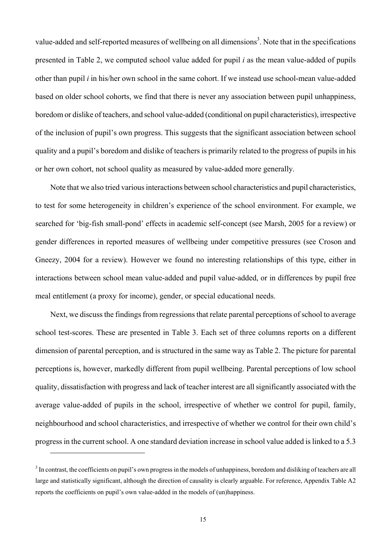value-added and self-reported measures of wellbeing on all dimensions<sup>3</sup>. Note that in the specifications presented in Table 2, we computed school value added for pupil *i* as the mean value-added of pupils other than pupil *i* in his/her own school in the same cohort. If we instead use school-mean value-added based on older school cohorts, we find that there is never any association between pupil unhappiness, boredom or dislike of teachers, and school value-added (conditional on pupil characteristics), irrespective of the inclusion of pupil's own progress. This suggests that the significant association between school quality and a pupil's boredom and dislike of teachers is primarily related to the progress of pupils in his or her own cohort, not school quality as measured by value-added more generally.

Note that we also tried various interactions between school characteristics and pupil characteristics, to test for some heterogeneity in children's experience of the school environment. For example, we searched for 'big-fish small-pond' effects in academic self-concept (see Marsh, 2005 for a review) or gender differences in reported measures of wellbeing under competitive pressures (see Croson and Gneezy, 2004 for a review). However we found no interesting relationships of this type, either in interactions between school mean value-added and pupil value-added, or in differences by pupil free meal entitlement (a proxy for income), gender, or special educational needs.

Next, we discuss the findings from regressions that relate parental perceptions of school to average school test-scores. These are presented in Table 3. Each set of three columns reports on a different dimension of parental perception, and is structured in the same way as Table 2. The picture for parental perceptions is, however, markedly different from pupil wellbeing. Parental perceptions of low school quality, dissatisfaction with progress and lack of teacher interest are all significantly associated with the average value-added of pupils in the school, irrespective of whether we control for pupil, family, neighbourhood and school characteristics, and irrespective of whether we control for their own child's progress in the current school. A one standard deviation increase in school value added is linked to a 5.3

 $\overline{a}$ 

<sup>&</sup>lt;sup>3</sup> In contrast, the coefficients on pupil's own progress in the models of unhappiness, boredom and disliking of teachers are all large and statistically significant, although the direction of causality is clearly arguable. For reference, Appendix Table A2 reports the coefficients on pupil's own value-added in the models of (un)happiness.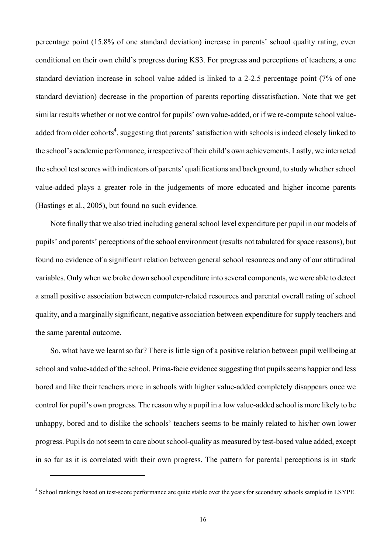percentage point (15.8% of one standard deviation) increase in parents' school quality rating, even conditional on their own child's progress during KS3. For progress and perceptions of teachers, a one standard deviation increase in school value added is linked to a 2-2.5 percentage point (7% of one standard deviation) decrease in the proportion of parents reporting dissatisfaction. Note that we get similar results whether or not we control for pupils' own value-added, or if we re-compute school valueadded from older cohorts<sup>4</sup>, suggesting that parents' satisfaction with schools is indeed closely linked to the school's academic performance, irrespective of their child's own achievements. Lastly, we interacted the school test scores with indicators of parents' qualifications and background, to study whether school value-added plays a greater role in the judgements of more educated and higher income parents (Hastings et al., 2005), but found no such evidence.

Note finally that we also tried including general school level expenditure per pupil in our models of pupils' and parents' perceptions of the school environment (results not tabulated for space reasons), but found no evidence of a significant relation between general school resources and any of our attitudinal variables. Only when we broke down school expenditure into several components, we were able to detect a small positive association between computer-related resources and parental overall rating of school quality, and a marginally significant, negative association between expenditure for supply teachers and the same parental outcome.

So, what have we learnt so far? There is little sign of a positive relation between pupil wellbeing at school and value-added of the school. Prima-facie evidence suggesting that pupils seems happier and less bored and like their teachers more in schools with higher value-added completely disappears once we control for pupil's own progress. The reason why a pupil in a low value-added school is more likely to be unhappy, bored and to dislike the schools' teachers seems to be mainly related to his/her own lower progress. Pupils do not seem to care about school-quality as measured by test-based value added, except in so far as it is correlated with their own progress. The pattern for parental perceptions is in stark

 $\overline{a}$ 

<sup>&</sup>lt;sup>4</sup> School rankings based on test-score performance are quite stable over the years for secondary schools sampled in LSYPE.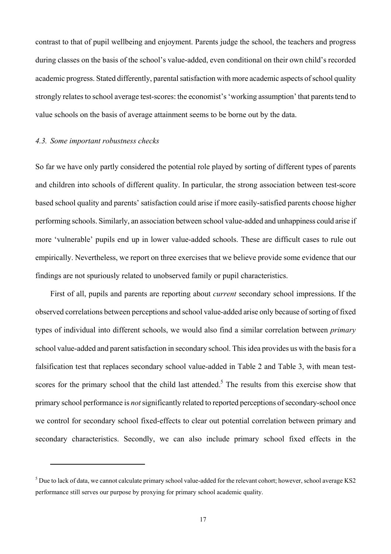contrast to that of pupil wellbeing and enjoyment. Parents judge the school, the teachers and progress during classes on the basis of the school's value-added, even conditional on their own child's recorded academic progress. Stated differently, parental satisfaction with more academic aspects of school quality strongly relates to school average test-scores: the economist's 'working assumption' that parents tend to value schools on the basis of average attainment seems to be borne out by the data.

#### *4.3. Some important robustness checks*

 $\overline{a}$ 

So far we have only partly considered the potential role played by sorting of different types of parents and children into schools of different quality. In particular, the strong association between test-score based school quality and parents' satisfaction could arise if more easily-satisfied parents choose higher performing schools. Similarly, an association between school value-added and unhappiness could arise if more 'vulnerable' pupils end up in lower value-added schools. These are difficult cases to rule out empirically. Nevertheless, we report on three exercises that we believe provide some evidence that our findings are not spuriously related to unobserved family or pupil characteristics.

First of all, pupils and parents are reporting about *current* secondary school impressions. If the observed correlations between perceptions and school value-added arise only because of sorting of fixed types of individual into different schools, we would also find a similar correlation between *primary* school value-added and parent satisfaction in secondary school. This idea provides us with the basis for a falsification test that replaces secondary school value-added in Table 2 and Table 3, with mean testscores for the primary school that the child last attended.<sup>5</sup> The results from this exercise show that primary school performance is *not* significantly related to reported perceptions of secondary-school once we control for secondary school fixed-effects to clear out potential correlation between primary and secondary characteristics. Secondly, we can also include primary school fixed effects in the

 $5$  Due to lack of data, we cannot calculate primary school value-added for the relevant cohort; however, school average KS2 performance still serves our purpose by proxying for primary school academic quality.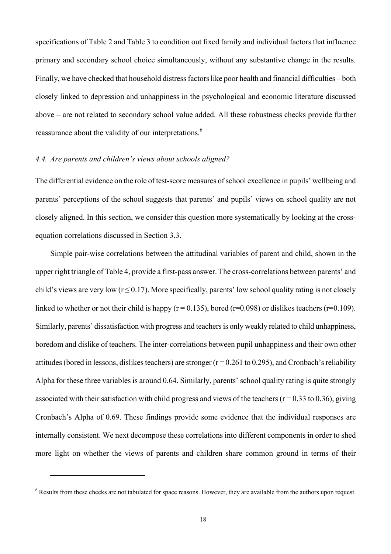specifications of Table 2 and Table 3 to condition out fixed family and individual factors that influence primary and secondary school choice simultaneously, without any substantive change in the results. Finally, we have checked that household distress factors like poor health and financial difficulties – both closely linked to depression and unhappiness in the psychological and economic literature discussed above – are not related to secondary school value added. All these robustness checks provide further reassurance about the validity of our interpretations.<sup>6</sup>

#### *4.4. Are parents and children's views about schools aligned?*

 $\overline{a}$ 

The differential evidence on the role of test-score measures of school excellence in pupils' wellbeing and parents' perceptions of the school suggests that parents' and pupils' views on school quality are not closely aligned. In this section, we consider this question more systematically by looking at the crossequation correlations discussed in Section 3.3.

Simple pair-wise correlations between the attitudinal variables of parent and child, shown in the upper right triangle of Table 4, provide a first-pass answer. The cross-correlations between parents' and child's views are very low ( $r \le 0.17$ ). More specifically, parents' low school quality rating is not closely linked to whether or not their child is happy ( $r = 0.135$ ), bored ( $r = 0.098$ ) or dislikes teachers ( $r = 0.109$ ). Similarly, parents' dissatisfaction with progress and teachers is only weakly related to child unhappiness, boredom and dislike of teachers. The inter-correlations between pupil unhappiness and their own other attitudes (bored in lessons, dislikes teachers) are stronger  $(r = 0.261$  to 0.295), and Cronbach's reliability Alpha for these three variables is around 0.64. Similarly, parents' school quality rating is quite strongly associated with their satisfaction with child progress and views of the teachers ( $r = 0.33$  to 0.36), giving Cronbach's Alpha of 0.69. These findings provide some evidence that the individual responses are internally consistent. We next decompose these correlations into different components in order to shed more light on whether the views of parents and children share common ground in terms of their

 $6$  Results from these checks are not tabulated for space reasons. However, they are available from the authors upon request.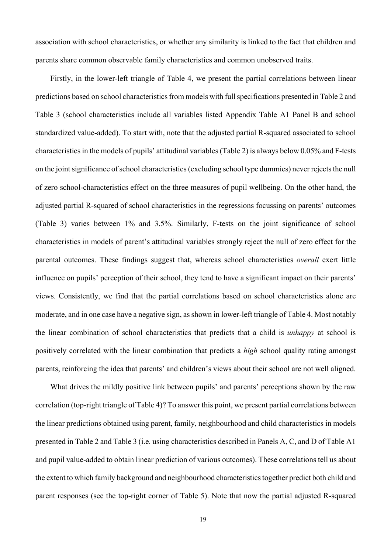association with school characteristics, or whether any similarity is linked to the fact that children and parents share common observable family characteristics and common unobserved traits.

Firstly, in the lower-left triangle of Table 4, we present the partial correlations between linear predictions based on school characteristics from models with full specifications presented in Table 2 and Table 3 (school characteristics include all variables listed Appendix Table A1 Panel B and school standardized value-added). To start with, note that the adjusted partial R-squared associated to school characteristics in the models of pupils' attitudinal variables (Table 2) is always below 0.05% and F-tests on the joint significance of school characteristics (excluding school type dummies) never rejects the null of zero school-characteristics effect on the three measures of pupil wellbeing. On the other hand, the adjusted partial R-squared of school characteristics in the regressions focussing on parents' outcomes (Table 3) varies between 1% and 3.5%. Similarly, F-tests on the joint significance of school characteristics in models of parent's attitudinal variables strongly reject the null of zero effect for the parental outcomes. These findings suggest that, whereas school characteristics *overall* exert little influence on pupils' perception of their school, they tend to have a significant impact on their parents' views. Consistently, we find that the partial correlations based on school characteristics alone are moderate, and in one case have a negative sign, as shown in lower-left triangle of Table 4. Most notably the linear combination of school characteristics that predicts that a child is *unhappy* at school is positively correlated with the linear combination that predicts a *high* school quality rating amongst parents, reinforcing the idea that parents' and children's views about their school are not well aligned.

What drives the mildly positive link between pupils' and parents' perceptions shown by the raw correlation (top-right triangle of Table 4)? To answer this point, we present partial correlations between the linear predictions obtained using parent, family, neighbourhood and child characteristics in models presented in Table 2 and Table 3 (i.e. using characteristics described in Panels A, C, and D of Table A1 and pupil value-added to obtain linear prediction of various outcomes). These correlations tell us about the extent to which family background and neighbourhood characteristics together predict both child and parent responses (see the top-right corner of Table 5). Note that now the partial adjusted R-squared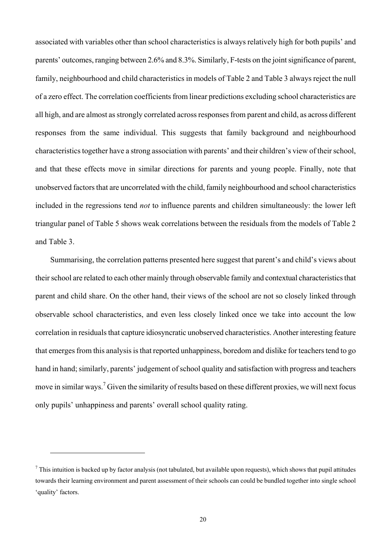associated with variables other than school characteristics is always relatively high for both pupils' and parents' outcomes, ranging between 2.6% and 8.3%. Similarly, F-tests on the joint significance of parent, family, neighbourhood and child characteristics in models of Table 2 and Table 3 always reject the null of a zero effect. The correlation coefficients from linear predictions excluding school characteristics are all high, and are almost as strongly correlated across responses from parent and child, as across different responses from the same individual. This suggests that family background and neighbourhood characteristics together have a strong association with parents' and their children's view of their school, and that these effects move in similar directions for parents and young people. Finally, note that unobserved factors that are uncorrelated with the child, family neighbourhood and school characteristics included in the regressions tend *not* to influence parents and children simultaneously: the lower left triangular panel of Table 5 shows weak correlations between the residuals from the models of Table 2 and Table 3.

Summarising, the correlation patterns presented here suggest that parent's and child's views about their school are related to each other mainly through observable family and contextual characteristics that parent and child share. On the other hand, their views of the school are not so closely linked through observable school characteristics, and even less closely linked once we take into account the low correlation in residuals that capture idiosyncratic unobserved characteristics. Another interesting feature that emerges from this analysis is that reported unhappiness, boredom and dislike for teachers tend to go hand in hand; similarly, parents' judgement of school quality and satisfaction with progress and teachers move in similar ways.<sup>7</sup> Given the similarity of results based on these different proxies, we will next focus only pupils' unhappiness and parents' overall school quality rating.

 $\overline{a}$ 

 $^7$  This intuition is backed up by factor analysis (not tabulated, but available upon requests), which shows that pupil attitudes towards their learning environment and parent assessment of their schools can could be bundled together into single school 'quality' factors.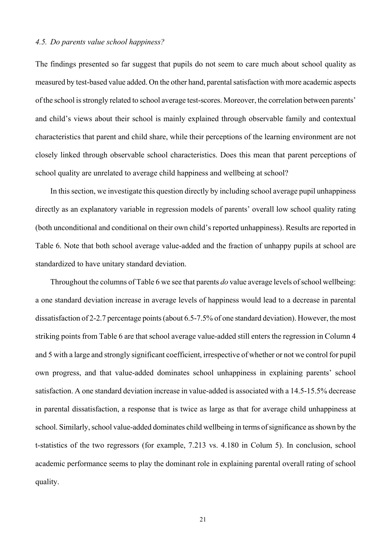#### *4.5. Do parents value school happiness?*

The findings presented so far suggest that pupils do not seem to care much about school quality as measured by test-based value added. On the other hand, parental satisfaction with more academic aspects of the school is strongly related to school average test-scores. Moreover, the correlation between parents' and child's views about their school is mainly explained through observable family and contextual characteristics that parent and child share, while their perceptions of the learning environment are not closely linked through observable school characteristics. Does this mean that parent perceptions of school quality are unrelated to average child happiness and wellbeing at school?

In this section, we investigate this question directly by including school average pupil unhappiness directly as an explanatory variable in regression models of parents' overall low school quality rating (both unconditional and conditional on their own child's reported unhappiness). Results are reported in Table 6. Note that both school average value-added and the fraction of unhappy pupils at school are standardized to have unitary standard deviation.

Throughout the columns of Table 6 we see that parents *do* value average levels of school wellbeing: a one standard deviation increase in average levels of happiness would lead to a decrease in parental dissatisfaction of 2-2.7 percentage points (about 6.5-7.5% of one standard deviation). However, the most striking points from Table 6 are that school average value-added still enters the regression in Column 4 and 5 with a large and strongly significant coefficient, irrespective of whether or not we control for pupil own progress, and that value-added dominates school unhappiness in explaining parents' school satisfaction. A one standard deviation increase in value-added is associated with a 14.5-15.5% decrease in parental dissatisfaction, a response that is twice as large as that for average child unhappiness at school. Similarly, school value-added dominates child wellbeing in terms of significance as shown by the t-statistics of the two regressors (for example, 7.213 vs. 4.180 in Colum 5). In conclusion, school academic performance seems to play the dominant role in explaining parental overall rating of school quality.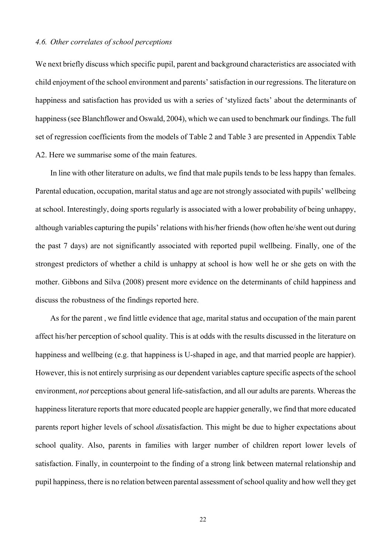#### *4.6. Other correlates of school perceptions*

We next briefly discuss which specific pupil, parent and background characteristics are associated with child enjoyment of the school environment and parents' satisfaction in our regressions. The literature on happiness and satisfaction has provided us with a series of 'stylized facts' about the determinants of happiness (see Blanchflower and Oswald, 2004), which we can used to benchmark our findings. The full set of regression coefficients from the models of Table 2 and Table 3 are presented in Appendix Table A2. Here we summarise some of the main features.

In line with other literature on adults, we find that male pupils tends to be less happy than females. Parental education, occupation, marital status and age are not strongly associated with pupils' wellbeing at school. Interestingly, doing sports regularly is associated with a lower probability of being unhappy, although variables capturing the pupils' relations with his/her friends (how often he/she went out during the past 7 days) are not significantly associated with reported pupil wellbeing. Finally, one of the strongest predictors of whether a child is unhappy at school is how well he or she gets on with the mother. Gibbons and Silva (2008) present more evidence on the determinants of child happiness and discuss the robustness of the findings reported here.

As for the parent , we find little evidence that age, marital status and occupation of the main parent affect his/her perception of school quality. This is at odds with the results discussed in the literature on happiness and wellbeing (e.g. that happiness is U-shaped in age, and that married people are happier). However, this is not entirely surprising as our dependent variables capture specific aspects of the school environment, *not* perceptions about general life-satisfaction, and all our adults are parents. Whereas the happiness literature reports that more educated people are happier generally, we find that more educated parents report higher levels of school *dis*satisfaction. This might be due to higher expectations about school quality. Also, parents in families with larger number of children report lower levels of satisfaction. Finally, in counterpoint to the finding of a strong link between maternal relationship and pupil happiness, there is no relation between parental assessment of school quality and how well they get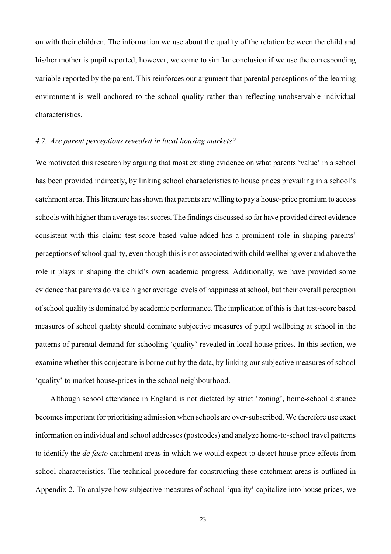on with their children. The information we use about the quality of the relation between the child and his/her mother is pupil reported; however, we come to similar conclusion if we use the corresponding variable reported by the parent. This reinforces our argument that parental perceptions of the learning environment is well anchored to the school quality rather than reflecting unobservable individual characteristics.

#### *4.7. Are parent perceptions revealed in local housing markets?*

We motivated this research by arguing that most existing evidence on what parents 'value' in a school has been provided indirectly, by linking school characteristics to house prices prevailing in a school's catchment area. This literature has shown that parents are willing to pay a house-price premium to access schools with higher than average test scores. The findings discussed so far have provided direct evidence consistent with this claim: test-score based value-added has a prominent role in shaping parents' perceptions of school quality, even though this is not associated with child wellbeing over and above the role it plays in shaping the child's own academic progress. Additionally, we have provided some evidence that parents do value higher average levels of happiness at school, but their overall perception of school quality is dominated by academic performance. The implication of this is that test-score based measures of school quality should dominate subjective measures of pupil wellbeing at school in the patterns of parental demand for schooling 'quality' revealed in local house prices. In this section, we examine whether this conjecture is borne out by the data, by linking our subjective measures of school 'quality' to market house-prices in the school neighbourhood.

Although school attendance in England is not dictated by strict 'zoning', home-school distance becomes important for prioritising admission when schools are over-subscribed. We therefore use exact information on individual and school addresses (postcodes) and analyze home-to-school travel patterns to identify the *de facto* catchment areas in which we would expect to detect house price effects from school characteristics. The technical procedure for constructing these catchment areas is outlined in Appendix 2. To analyze how subjective measures of school 'quality' capitalize into house prices, we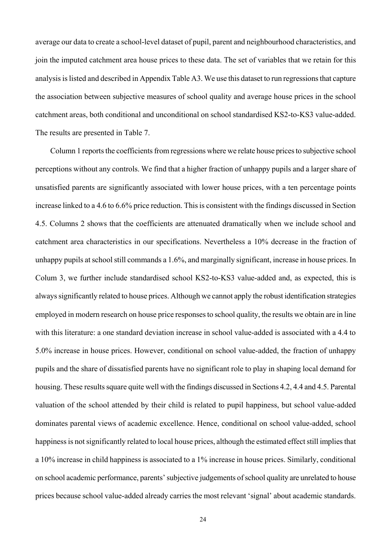average our data to create a school-level dataset of pupil, parent and neighbourhood characteristics, and join the imputed catchment area house prices to these data. The set of variables that we retain for this analysis is listed and described in Appendix Table A3. We use this dataset to run regressions that capture the association between subjective measures of school quality and average house prices in the school catchment areas, both conditional and unconditional on school standardised KS2-to-KS3 value-added. The results are presented in Table 7.

Column 1 reports the coefficients from regressions where we relate house prices to subjective school perceptions without any controls. We find that a higher fraction of unhappy pupils and a larger share of unsatisfied parents are significantly associated with lower house prices, with a ten percentage points increase linked to a 4.6 to 6.6% price reduction. This is consistent with the findings discussed in Section 4.5. Columns 2 shows that the coefficients are attenuated dramatically when we include school and catchment area characteristics in our specifications. Nevertheless a 10% decrease in the fraction of unhappy pupils at school still commands a 1.6%, and marginally significant, increase in house prices. In Colum 3, we further include standardised school KS2-to-KS3 value-added and, as expected, this is always significantly related to house prices. Although we cannot apply the robust identification strategies employed in modern research on house price responses to school quality, the results we obtain are in line with this literature: a one standard deviation increase in school value-added is associated with a 4.4 to 5.0% increase in house prices. However, conditional on school value-added, the fraction of unhappy pupils and the share of dissatisfied parents have no significant role to play in shaping local demand for housing. These results square quite well with the findings discussed in Sections 4.2, 4.4 and 4.5. Parental valuation of the school attended by their child is related to pupil happiness, but school value-added dominates parental views of academic excellence. Hence, conditional on school value-added, school happiness is not significantly related to local house prices, although the estimated effect still implies that a 10% increase in child happiness is associated to a 1% increase in house prices. Similarly, conditional on school academic performance, parents' subjective judgements of school quality are unrelated to house prices because school value-added already carries the most relevant 'signal' about academic standards.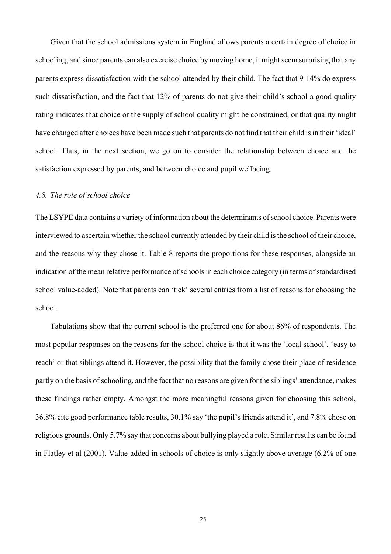Given that the school admissions system in England allows parents a certain degree of choice in schooling, and since parents can also exercise choice by moving home, it might seem surprising that any parents express dissatisfaction with the school attended by their child. The fact that 9-14% do express such dissatisfaction, and the fact that 12% of parents do not give their child's school a good quality rating indicates that choice or the supply of school quality might be constrained, or that quality might have changed after choices have been made such that parents do not find that their child is in their 'ideal' school. Thus, in the next section, we go on to consider the relationship between choice and the satisfaction expressed by parents, and between choice and pupil wellbeing.

#### *4.8. The role of school choice*

The LSYPE data contains a variety of information about the determinants of school choice. Parents were interviewed to ascertain whether the school currently attended by their child is the school of their choice, and the reasons why they chose it. Table 8 reports the proportions for these responses, alongside an indication of the mean relative performance of schools in each choice category (in terms of standardised school value-added). Note that parents can 'tick' several entries from a list of reasons for choosing the school.

Tabulations show that the current school is the preferred one for about 86% of respondents. The most popular responses on the reasons for the school choice is that it was the 'local school', 'easy to reach' or that siblings attend it. However, the possibility that the family chose their place of residence partly on the basis of schooling, and the fact that no reasons are given for the siblings' attendance, makes these findings rather empty. Amongst the more meaningful reasons given for choosing this school, 36.8% cite good performance table results, 30.1% say 'the pupil's friends attend it', and 7.8% chose on religious grounds. Only 5.7% say that concerns about bullying played a role. Similar results can be found in Flatley et al (2001). Value-added in schools of choice is only slightly above average (6.2% of one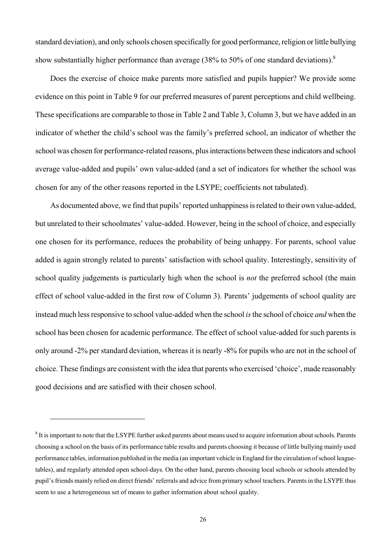standard deviation), and only schools chosen specifically for good performance, religion or little bullying show substantially higher performance than average (38% to 50% of one standard deviations).<sup>8</sup>

Does the exercise of choice make parents more satisfied and pupils happier? We provide some evidence on this point in Table 9 for our preferred measures of parent perceptions and child wellbeing. These specifications are comparable to those in Table 2 and Table 3, Column 3, but we have added in an indicator of whether the child's school was the family's preferred school, an indicator of whether the school was chosen for performance-related reasons, plus interactions between these indicators and school average value-added and pupils' own value-added (and a set of indicators for whether the school was chosen for any of the other reasons reported in the LSYPE; coefficients not tabulated).

As documented above, we find that pupils' reported unhappiness is related to their own value-added, but unrelated to their schoolmates' value-added. However, being in the school of choice, and especially one chosen for its performance, reduces the probability of being unhappy. For parents, school value added is again strongly related to parents' satisfaction with school quality. Interestingly, sensitivity of school quality judgements is particularly high when the school is *not* the preferred school (the main effect of school value-added in the first row of Column 3). Parents' judgements of school quality are instead much less responsive to school value-added when the school *is* the school of choice *and* when the school has been chosen for academic performance. The effect of school value-added for such parents is only around -2% per standard deviation, whereas it is nearly -8% for pupils who are not in the school of choice. These findings are consistent with the idea that parents who exercised 'choice', made reasonably good decisions and are satisfied with their chosen school.

 $\overline{a}$ 

<sup>&</sup>lt;sup>8</sup> It is important to note that the LSYPE further asked parents about means used to acquire information about schools. Parents choosing a school on the basis of its performance table results and parents choosing it because of little bullying mainly used performance tables, information published in the media (an important vehicle in England for the circulation of school leaguetables), and regularly attended open school-days. On the other hand, parents choosing local schools or schools attended by pupil's friends mainly relied on direct friends' referrals and advice from primary school teachers. Parents in the LSYPE thus seem to use a heterogeneous set of means to gather information about school quality.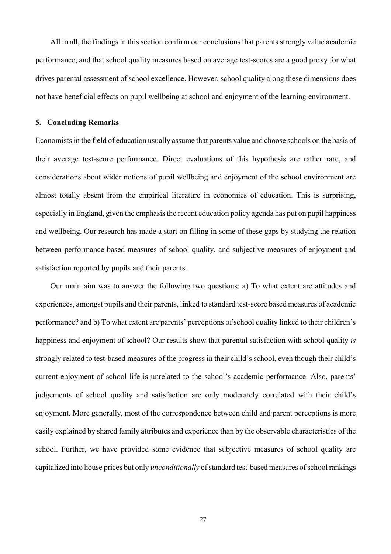All in all, the findings in this section confirm our conclusions that parents strongly value academic performance, and that school quality measures based on average test-scores are a good proxy for what drives parental assessment of school excellence. However, school quality along these dimensions does not have beneficial effects on pupil wellbeing at school and enjoyment of the learning environment.

#### **5. Concluding Remarks**

Economists in the field of education usually assume that parents value and choose schools on the basis of their average test-score performance. Direct evaluations of this hypothesis are rather rare, and considerations about wider notions of pupil wellbeing and enjoyment of the school environment are almost totally absent from the empirical literature in economics of education. This is surprising, especially in England, given the emphasis the recent education policy agenda has put on pupil happiness and wellbeing. Our research has made a start on filling in some of these gaps by studying the relation between performance-based measures of school quality, and subjective measures of enjoyment and satisfaction reported by pupils and their parents.

Our main aim was to answer the following two questions: a) To what extent are attitudes and experiences, amongst pupils and their parents, linked to standard test-score based measures of academic performance? and b) To what extent are parents' perceptions of school quality linked to their children's happiness and enjoyment of school? Our results show that parental satisfaction with school quality *is* strongly related to test-based measures of the progress in their child's school, even though their child's current enjoyment of school life is unrelated to the school's academic performance. Also, parents' judgements of school quality and satisfaction are only moderately correlated with their child's enjoyment. More generally, most of the correspondence between child and parent perceptions is more easily explained by shared family attributes and experience than by the observable characteristics of the school. Further, we have provided some evidence that subjective measures of school quality are capitalized into house prices but only *unconditionally* of standard test-based measures of school rankings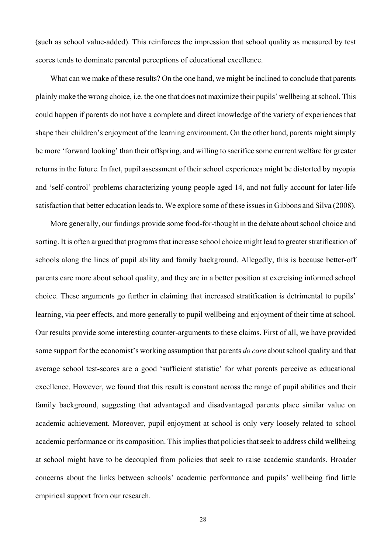(such as school value-added). This reinforces the impression that school quality as measured by test scores tends to dominate parental perceptions of educational excellence.

What can we make of these results? On the one hand, we might be inclined to conclude that parents plainly make the wrong choice, i.e. the one that does not maximize their pupils' wellbeing at school. This could happen if parents do not have a complete and direct knowledge of the variety of experiences that shape their children's enjoyment of the learning environment. On the other hand, parents might simply be more 'forward looking' than their offspring, and willing to sacrifice some current welfare for greater returns in the future. In fact, pupil assessment of their school experiences might be distorted by myopia and 'self-control' problems characterizing young people aged 14, and not fully account for later-life satisfaction that better education leads to. We explore some of these issues in Gibbons and Silva (2008).

More generally, our findings provide some food-for-thought in the debate about school choice and sorting. It is often argued that programs that increase school choice might lead to greater stratification of schools along the lines of pupil ability and family background. Allegedly, this is because better-off parents care more about school quality, and they are in a better position at exercising informed school choice. These arguments go further in claiming that increased stratification is detrimental to pupils' learning, via peer effects, and more generally to pupil wellbeing and enjoyment of their time at school. Our results provide some interesting counter-arguments to these claims. First of all, we have provided some support for the economist's working assumption that parents *do care* about school quality and that average school test-scores are a good 'sufficient statistic' for what parents perceive as educational excellence. However, we found that this result is constant across the range of pupil abilities and their family background, suggesting that advantaged and disadvantaged parents place similar value on academic achievement. Moreover, pupil enjoyment at school is only very loosely related to school academic performance or its composition. This implies that policies that seek to address child wellbeing at school might have to be decoupled from policies that seek to raise academic standards. Broader concerns about the links between schools' academic performance and pupils' wellbeing find little empirical support from our research.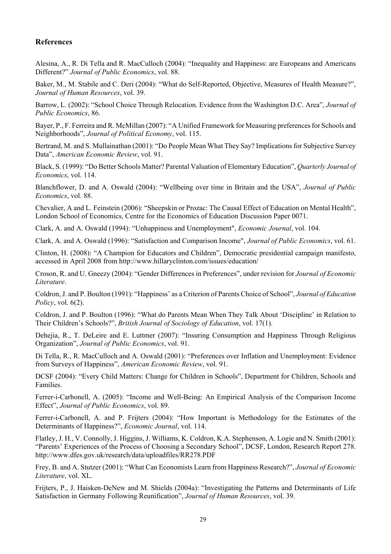#### **References**

Alesina, A., R. Di Tella and R. MacCulloch (2004): "Inequality and Happiness: are Europeans and Americans Different?" *Journal of Public Economics*, vol. 88.

Baker, M., M. Stabile and C. Deri (2004): "What do Self-Reported, Objective, Measures of Health Measure?", *Journal of Human Resources*, vol. 39.

Barrow, L. (2002): "School Choice Through Relocation. Evidence from the Washington D.C. Area", *Journal of Public Economics*, 86.

Bayer, P., F. Ferreira and R. McMillan (2007): "A Unified Framework for Measuring preferences for Schools and Neighborhoods", *Journal of Political Economy*, vol. 115.

Bertrand, M. and S. Mullainathan (2001): "Do People Mean What They Say? Implications for Subjective Survey Data", *American Economic Review*, vol. 91.

Black, S. (1999): "Do Better Schools Matter? Parental Valuation of Elementary Education", *Quarterly Journal of Economics*, vol. 114.

Blanchflower, D. and A. Oswald (2004): "Wellbeing over time in Britain and the USA", *Journal of Public Economics*, vol. 88.

Chevalier, A and L. Feinstein (2006): "Sheepskin or Prozac: The Causal Effect of Education on Mental Health", London School of Economics, Centre for the Economics of Education Discussion Paper 0071.

Clark, A. and A. Oswald (1994): "Unhappiness and Unemployment", *Economic Journal*, vol. 104.

Clark, A. and A. Oswald (1996): "Satisfaction and Comparison Income", *Journal of Public Economics*, vol. 61.

Clinton, H. (2008): "A Champion for Educators and Children", Democratic presidential campaign manifesto, accessed in April 2008 from http://www.hillaryclinton.com/issues/education/

Croson, R. and U. Gneezy (2004): "Gender Differences in Preferences", under revision for *Journal of Economic Literature*.

Coldron, J. and P. Boulton (1991): "Happiness' as a Criterion of Parents Choice of School", *Journal of Education Policy*, vol. 6(2).

Coldron, J. and P. Boulton (1996): "What do Parents Mean When They Talk About 'Discipline' in Relation to Their Children's Schools?", *British Journal of Sociology of Education*, vol. 17(1).

Dehejia, R., T. DeLeire and E. Luttmer (2007): "Insuring Consumption and Happiness Through Religious Organization", *Journal of Public Economics*, vol. 91.

Di Tella, R., R. MacCulloch and A. Oswald (2001): "Preferences over Inflation and Unemployment: Evidence from Surveys of Happiness", *American Economic Review*, vol. 91.

DCSF (2004): "Every Child Matters: Change for Children in Schools", Department for Children, Schools and Families.

Ferrer-i-Carbonell, A. (2005): "Income and Well-Being: An Empirical Analysis of the Comparison Income Effect", *Journal of Public Economics*, vol. 89.

Ferrer-i-Carbonell, A. and P. Frijters (2004): "How Important is Methodology for the Estimates of the Determinants of Happiness?", *Economic Journal*, vol. 114.

Flatley, J. H., V. Connolly, J. Higgins, J. Williams, K. Coldron, K.A. Stephenson, A. Logie and N. Smith (2001): "Parents' Experiences of the Process of Choosing a Secondary School", DCSF, London, Research Report 278. http://www.dfes.gov.uk/research/data/uploadfiles/RR278.PDF

Frey, B. and A. Stutzer (2001): "What Can Economists Learn from Happiness Research?", *Journal of Economic Literature*, vol. XL.

Frijters, P., J. Haisken-DeNew and M. Shields (2004a): "Investigating the Patterns and Determinants of Life Satisfaction in Germany Following Reunification", *Journal of Human Resources*, vol. 39.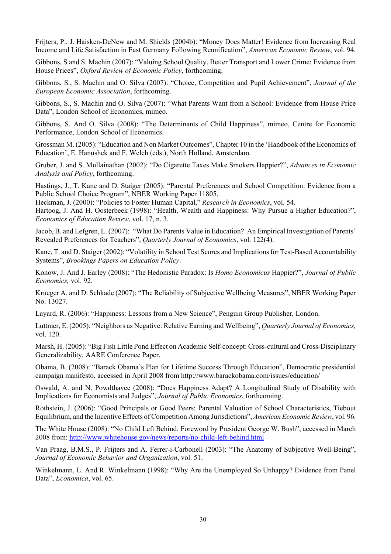Frijters, P., J. Haisken-DeNew and M. Shields (2004b): "Money Does Matter! Evidence from Increasing Real Income and Life Satisfaction in East Germany Following Reunification", *American Economic Review*, vol. 94.

Gibbons, S and S. Machin (2007): "Valuing School Quality, Better Transport and Lower Crime: Evidence from House Prices", *Oxford Review of Economic Policy*, forthcoming.

Gibbons, S., S. Machin and O. Silva (2007): "Choice, Competition and Pupil Achievement", *Journal of the European Economic Association*, forthcoming.

Gibbons, S., S. Machin and O. Silva (2007): "What Parents Want from a School: Evidence from House Price Data", London School of Economics, mimeo.

Gibbons, S. And O. Silva (2008): "The Determinants of Child Happiness", mimeo, Centre for Economic Performance, London School of Economics.

Grossman M. (2005): "Education and Non Market Outcomes", Chapter 10 in the 'Handbook of the Economics of Education', E. Hanushek and F. Welch (eds.), North Holland, Amsterdam.

Gruber, J. and S. Mullainathan (2002): "Do Cigarette Taxes Make Smokers Happier?", *Advances in Economic Analysis and Policy*, forthcoming.

Hastings, J., T. Kane and D. Staiger (2005): "Parental Preferences and School Competition: Evidence from a Public School Choice Program", NBER Working Paper 11805.

Heckman, J. (2000): "Policies to Foster Human Capital," *Research in Economics*, vol. 54.

Hartoog, J. And H. Oosterbeek (1998): "Health, Wealth and Happiness: Why Pursue a Higher Education?", *Economics of Education Review*, vol. 17, n. 3.

Jacob, B. and Lefgren, L. (2007): "What Do Parents Value in Education? An Empirical Investigation of Parents' Revealed Preferences for Teachers", *Quarterly Journal of Economics*, vol. 122(4).

Kane, T. and D. Staiger (2002): "Volatility in School Test Scores and Implications for Test-Based Accountability Systems", *Brookings Papers on Education Policy*.

Konow, J. And J. Earley (2008): "The Hedonistic Paradox: Is *Homo Economicus* Happier?", *Journal of Public Economics,* vol. 92.

Krueger A. and D. Schkade (2007): "The Reliability of Subjective Wellbeing Measures", NBER Working Paper No. 13027.

Layard, R. (2006): "Happiness: Lessons from a New Science", Penguin Group Publisher, London.

Luttmer, E. (2005): "Neighbors as Negative: Relative Earning and Wellbeing", *Quarterly Journal of Economics,* vol. 120.

Marsh, H. (2005): "Big Fish Little Pond Effect on Academic Self-concept: Cross-cultural and Cross-Disciplinary Generalizability, AARE Conference Paper.

Obama, B. (2008): "Barack Obama's Plan for Lifetime Success Through Education", Democratic presidential campaign manifesto, accessed in April 2008 from http://www.barackobama.com/issues/education/

Oswald, A. and N. Powdthavee (2008): "Does Happiness Adapt? A Longitudinal Study of Disability with Implications for Economists and Judges", *Journal of Public Economics*, forthcoming.

Rothstein, J. (2006): "Good Principals or Good Peers: Parental Valuation of School Characteristics, Tiebout Equilibrium, and the Incentive Effects of Competition Among Jurisdictions", *American Economic Review*, vol. 96.

The White House (2008): "No Child Left Behind: Foreword by President George W. Bush", accessed in March 2008 from: http://www.whitehouse.gov/news/reports/no-child-left-behind.html

Van Praag, B.M.S., P. Frijters and A. Ferrer-i-Carbonell (2003): "The Anatomy of Subjective Well-Being", *Journal of Economic Behavior and Organization*, vol. 51.

Winkelmann, L. And R. Winkelmann (1998): "Why Are the Unemployed So Unhappy? Evidence from Panel Data", *Economica*, vol. 65.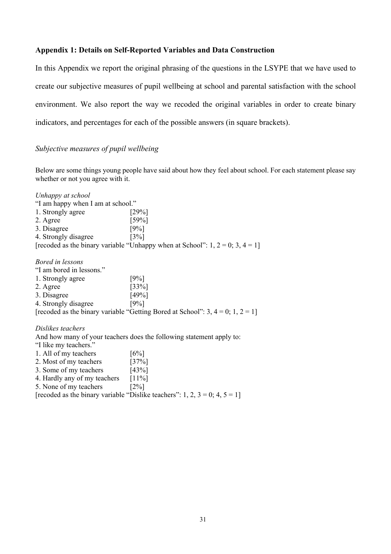#### **Appendix 1: Details on Self-Reported Variables and Data Construction**

In this Appendix we report the original phrasing of the questions in the LSYPE that we have used to create our subjective measures of pupil wellbeing at school and parental satisfaction with the school environment. We also report the way we recoded the original variables in order to create binary indicators, and percentages for each of the possible answers (in square brackets).

#### *Subjective measures of pupil wellbeing*

Below are some things young people have said about how they feel about school. For each statement please say whether or not you agree with it.

| Unhappy at school                 |                                                                                     |
|-----------------------------------|-------------------------------------------------------------------------------------|
| "I am happy when I am at school." |                                                                                     |
| 1. Strongly agree                 | [29%]                                                                               |
| 2. Agree                          | [59%]                                                                               |
| 3. Disagree                       | [9%]                                                                                |
| 4. Strongly disagree              | $\left[3\% \right]$                                                                 |
|                                   | [recoded as the binary variable "Unhappy when at School": $1, 2 = 0$ ; $3, 4 = 1$ ] |
| Bored in lessons                  |                                                                                     |
| "I am bored in lessons."          |                                                                                     |

| 1. Strongly agree    | [9%]                                                                                 |
|----------------------|--------------------------------------------------------------------------------------|
| 2. Agree             | $[33\%]$                                                                             |
| 3. Disagree          | [49%]                                                                                |
| 4. Strongly disagree | [9%]                                                                                 |
|                      | [recoded as the binary variable "Getting Bored at School": 3, $4 = 0$ ; 1, $2 = 1$ ] |

#### *Dislikes teachers*

And how many of your teachers does the following statement apply to:

| "I like my teachers."                             |                                  |
|---------------------------------------------------|----------------------------------|
| 1. All of my teachers                             | $[6\%]$                          |
| $\bullet$ $\bullet$ $\bullet$ $\bullet$ $\bullet$ | $\Gamma \cap \Gamma \cap \Gamma$ |

- 2. Most of my teachers [37%]
- 3. Some of my teachers [43%]
- 4. Hardly any of my teachers [11%]
- 5. None of my teachers [2%]

[recoded as the binary variable "Dislike teachers":  $1, 2, 3 = 0; 4, 5 = 1$ ]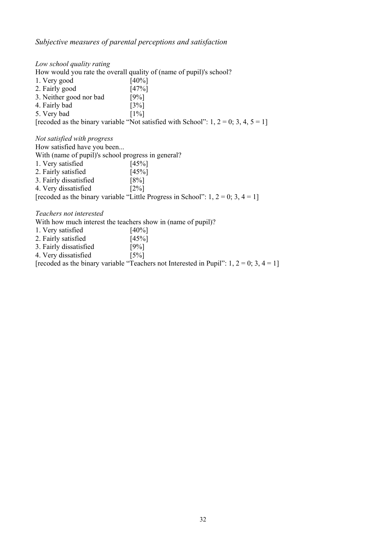### *Subjective measures of parental perceptions and satisfaction*

#### *Low school quality rating*

How would you rate the overall quality of (name of pupil)'s school?

| 1. Very good            | $[40\%]$            |
|-------------------------|---------------------|
| 2. Fairly good          | [47%]               |
| 3. Neither good nor bad | [9%]                |
| 4. Fairly bad           | $\left[3\% \right]$ |

5. Very bad  $\begin{bmatrix}1\% \end{bmatrix}$ 

[recoded as the binary variable "Not satisfied with School":  $1, 2 = 0$ ;  $3, 4, 5 = 1$ ]

#### *Not satisfied with progress*

How satisfied have you been...

With (name of pupil)'s school progress in general?

| 1. Very satisfied      | [45%]               |                                                                                        |
|------------------------|---------------------|----------------------------------------------------------------------------------------|
| 2. Fairly satisfied    | [45%]               |                                                                                        |
| 3. Fairly dissatisfied | $18\%$              |                                                                                        |
| 4. Very dissatisfied   | $\lceil 2\% \rceil$ |                                                                                        |
|                        |                     | [recoded as the binary variable "Little Progress in School": 1, $2 = 0$ ; 3, $4 = 1$ ] |

#### *Teachers not interested*

With how much interest the teachers show in (name of pupil)?

| 1. Very satisfied      | $[40\%]$                                                                                      |  |
|------------------------|-----------------------------------------------------------------------------------------------|--|
| 2. Fairly satisfied    | [45%]                                                                                         |  |
| 3. Fairly dissatisfied | $[9\%]$                                                                                       |  |
| 4. Very dissatisfied   | 15%                                                                                           |  |
|                        | [recoded as the binary variable "Teachers not Interested in Pupil": 1, $2 = 0$ ; 3, $4 = 1$ ] |  |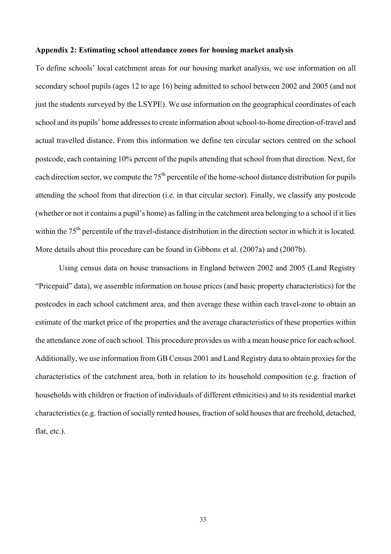#### **Appendix 2: Estimating school attendance zones for housing market analysis**

To define schools' local catchment areas for our housing market analysis, we use information on all secondary school pupils (ages 12 to age 16) being admitted to school between 2002 and 2005 (and not just the students surveyed by the LSYPE). We use information on the geographical coordinates of each school and its pupils' home addresses to create information about school-to-home direction-of-travel and actual travelled distance. From this information we define ten circular sectors centred on the school postcode, each containing 10% percent of the pupils attending that school from that direction. Next, for each direction sector, we compute the 75<sup>th</sup> percentile of the home-school distance distribution for pupils attending the school from that direction (i.e. in that circular sector). Finally, we classify any postcode (whether or not it contains a pupil's home) as falling in the catchment area belonging to a school if it lies within the 75<sup>th</sup> percentile of the travel-distance distribution in the direction sector in which it is located. More details about this procedure can be found in Gibbons et al. (2007a) and (2007b).

Using census data on house transactions in England between 2002 and 2005 (Land Registry "Pricepaid" data), we assemble information on house prices (and basic property characteristics) for the postcodes in each school catchment area, and then average these within each travel-zone to obtain an estimate of the market price of the properties and the average characteristics of these properties within the attendance zone of each school. This procedure provides us with a mean house price for each school. Additionally, we use information from GB Census 2001 and Land Registry data to obtain proxies for the characteristics of the catchment area, both in relation to its household composition (e.g. fraction of households with children or fraction of individuals of different ethnicities) and to its residential market characteristics (e.g. fraction of socially rented houses, fraction of sold houses that are freehold, detached, flat, etc.).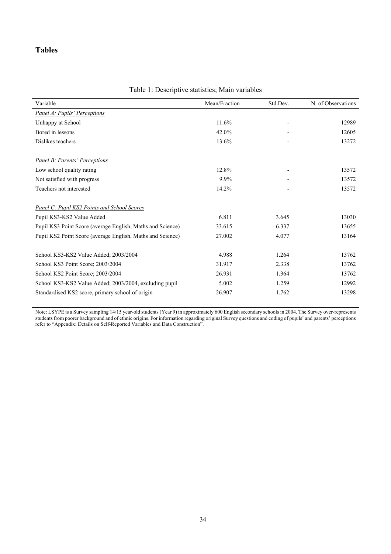# **Tables**

| Variable                                                   | Mean/Fraction | Std.Dev. | N. of Observations |
|------------------------------------------------------------|---------------|----------|--------------------|
| <b>Panel A: Pupils' Perceptions</b>                        |               |          |                    |
| Unhappy at School                                          | 11.6%         |          | 12989              |
| Bored in lessons                                           | 42.0%         |          | 12605              |
| Dislikes teachers                                          | 13.6%         |          | 13272              |
|                                                            |               |          |                    |
| Panel B: Parents' Perceptions                              |               |          |                    |
| Low school quality rating                                  | 12.8%         |          | 13572              |
| Not satisfied with progress                                | 9.9%          |          | 13572              |
| Teachers not interested                                    | 14.2%         |          | 13572              |
|                                                            |               |          |                    |
| <b>Panel C: Pupil KS2 Points and School Scores</b>         |               |          |                    |
| Pupil KS3-KS2 Value Added                                  | 6.811         | 3.645    | 13030              |
| Pupil KS3 Point Score (average English, Maths and Science) | 33.615        | 6.337    | 13655              |
| Pupil KS2 Point Score (average English, Maths and Science) | 27.002        | 4.077    | 13164              |
|                                                            |               |          |                    |
| School KS3-KS2 Value Added; 2003/2004                      | 4.988         | 1.264    | 13762              |
| School KS3 Point Score; 2003/2004                          | 31.917        | 2.338    | 13762              |
| School KS2 Point Score; 2003/2004                          | 26.931        | 1.364    | 13762              |
| School KS3-KS2 Value Added; 2003/2004, excluding pupil     | 5.002         | 1.259    | 12992              |
| Standardised KS2 score, primary school of origin           | 26.907        | 1.762    | 13298              |
|                                                            |               |          |                    |

#### Table 1: Descriptive statistics; Main variables

Note: LSYPE is a Survey sampling 14/15 year-old students (Year 9) in approximately 600 English secondary schools in 2004. The Survey over-represents students from poorer background and of ethnic origins. For information regarding original Survey questions and coding of pupils' and parents' perceptions refer to "Appendix: Details on Self-Reported Variables and Data Construction".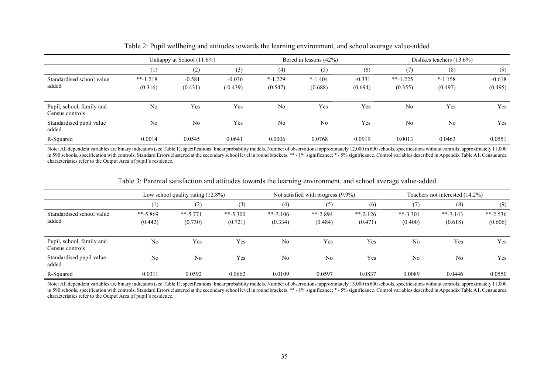|                                              |                | Unhappy at School $(11.6\%)$ |          |            | Bored in lessons $(42%)$ |          |            | Dislikes teachers $(13.6\%)$ |          |  |
|----------------------------------------------|----------------|------------------------------|----------|------------|--------------------------|----------|------------|------------------------------|----------|--|
|                                              | (1)            | (2)                          | (3)      | (4)        | (5)                      | (6)      | (7         | (8)                          | (9)      |  |
| Standardised school value                    | $***-1.218$    | $-0.581$                     | $-0.036$ | $*$ -1.229 | $* - 1.404$              | $-0.331$ | $*$ -1.225 | $* -1.158$                   | $-0.618$ |  |
| added                                        | (0.316)        | (0.431)                      | (0.439)  | (0.547)    | (0.688)                  | (0.694)  | (0.355)    | (0.497)                      | (0.495)  |  |
|                                              |                |                              |          |            |                          |          |            |                              |          |  |
| Pupil, school, family and<br>Census controls | N <sub>0</sub> | Yes                          | Yes      | No         | Yes                      | Yes      | No         | Yes                          | Yes      |  |
| Standardised pupil value<br>added            | No             | N <sub>0</sub>               | Yes      | No         | N <sub>0</sub>           | Yes      | No         | N <sub>0</sub>               | Yes      |  |
| R-Squared                                    | 0.0014         | 0.0545                       | 0.0641   | 0.0006     | 0.0768                   | 0.0919   | 0.0013     | 0.0463                       | 0.0551   |  |

Table 2: Pupil wellbeing and attitudes towards the learning environment, and school average value-added

Note: All dependent variables are binary indicators (see Table 1); specifications: linear probability models. Number of observations: approximately 12,000 in 600 schools, specifications without controls; approximately 11,0 in 590 schools, specification with controls. Standard Errors clustered at the secondary school level in round brackets. \*\* - 1% significance; \* - 5% significance. Control variables described in Appendix Table A1. Census ar characteristics refer to the Output Area of pupil's residence.

|                                              |             | Low school quality rating $(12.8\%)$ |             |             | Not satisfied with progress $(9.9\%)$ |                       |                | Teachers not interested (14.2%) |            |  |
|----------------------------------------------|-------------|--------------------------------------|-------------|-------------|---------------------------------------|-----------------------|----------------|---------------------------------|------------|--|
|                                              | (1)         | (2)                                  | (3)         | (4)         | (5)                                   | (6)                   | (7)            | (8)                             | (9)        |  |
| Standardised school value                    | $***-5.869$ | $***-5.771$                          | $***-5.300$ | $***-3.106$ | $*$ -2.894                            | $*$ <sup>2</sup> .126 | $**-3.301$     | $**-3.143$                      | $*$ -2.536 |  |
| added                                        | (0.442)     | (0.730)                              | (0.721)     | (0.334)     | (0.484)                               | (0.471)               | (0.400)        | (0.618)                         | (0.606)    |  |
|                                              |             |                                      |             |             |                                       |                       |                |                                 |            |  |
| Pupil, school, family and<br>Census controls | No          | Yes                                  | Yes         | No          | Yes                                   | Yes                   | N <sub>0</sub> | Yes                             | Yes        |  |
| Standardised pupil value<br>added            | No          | N <sub>0</sub>                       | Yes         | No          | N <sub>o</sub>                        | Yes                   | N <sub>0</sub> | No                              | Yes        |  |
| R-Squared                                    | 0.0311      | 0.0592                               | 0.0662      | 0.0109      | 0.0597                                | 0.0837                | 0.0089         | 0.0446                          | 0.0550     |  |

Table 3: Parental satisfaction and attitudes towards the learning environment, and school average value-added

Note: All dependent variables are binary indicators (see Table 1); specifications: linear probability models. Number of observations: approximately 13,000 in 600 schools, specifications without controls; approximately 11,0 in 590 schools, specification with controls. Standard Errors clustered at the secondary school level in round brackets. \*\* - 1% significance; \* - 5% significance. Control variables described in Appendix Table A1. Census ar characteristics refer to the Output Area of pupil's residence.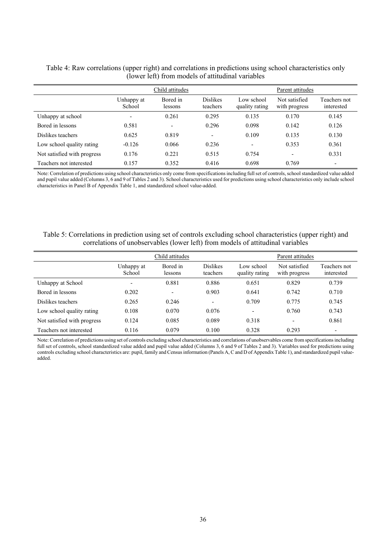|                             |                          | Child attitudes     |                             |                              | Parent attitudes               |                            |
|-----------------------------|--------------------------|---------------------|-----------------------------|------------------------------|--------------------------------|----------------------------|
|                             | Unhappy at<br>School     | Bored in<br>lessons | <b>Dislikes</b><br>teachers | Low school<br>quality rating | Not satisfied<br>with progress | Teachers not<br>interested |
| Unhappy at school           | $\overline{\phantom{a}}$ | 0.261               | 0.295                       | 0.135                        | 0.170                          | 0.145                      |
| Bored in lessons            | 0.581                    | ۰.                  | 0.296                       | 0.098                        | 0.142                          | 0.126                      |
| Dislikes teachers           | 0.625                    | 0.819               | $\overline{\phantom{0}}$    | 0.109                        | 0.135                          | 0.130                      |
| Low school quality rating   | $-0.126$                 | 0.066               | 0.236                       | $\overline{\phantom{a}}$     | 0.353                          | 0.361                      |
| Not satisfied with progress | 0.176                    | 0.221               | 0.515                       | 0.754                        | $\overline{\phantom{0}}$       | 0.331                      |
| Teachers not interested     | 0.157                    | 0.352               | 0.416                       | 0.698                        | 0.769                          | $\overline{\phantom{a}}$   |

#### Table 4: Raw correlations (upper right) and correlations in predictions using school characteristics only (lower left) from models of attitudinal variables

Note: Correlation of predictions using school characteristics only come from specifications including full set of controls, school standardized value added and pupil value added (Columns 3, 6 and 9 of Tables 2 and 3). School characteristics used for predictions using school characteristics only include school characteristics in Panel B of Appendix Table 1, and standardized school value-added.

#### Table 5: Correlations in prediction using set of controls excluding school characteristics (upper right) and correlations of unobservables (lower left) from models of attitudinal variables

|                             |                      | Child attitudes     |                             |                              | Parent attitudes               |                            |
|-----------------------------|----------------------|---------------------|-----------------------------|------------------------------|--------------------------------|----------------------------|
|                             | Unhappy at<br>School | Bored in<br>lessons | <b>Dislikes</b><br>teachers | Low school<br>quality rating | Not satisfied<br>with progress | Teachers not<br>interested |
| Unhappy at School           | ۰                    | 0.881               | 0.886                       | 0.651                        | 0.829                          | 0.739                      |
| Bored in lessons            | 0.202                |                     | 0.903                       | 0.641                        | 0.742                          | 0.710                      |
| Dislikes teachers           | 0.265                | 0.246               | $\overline{\phantom{a}}$    | 0.709                        | 0.775                          | 0.745                      |
| Low school quality rating   | 0.108                | 0.070               | 0.076                       | $\overline{\phantom{a}}$     | 0.760                          | 0.743                      |
| Not satisfied with progress | 0.124                | 0.085               | 0.089                       | 0.318                        | $\overline{\phantom{0}}$       | 0.861                      |
| Teachers not interested     | 0.116                | 0.079               | 0.100                       | 0.328                        | 0.293                          | $\overline{\phantom{a}}$   |

Note: Correlation of predictions using set of controls excluding school characteristics and correlations of unobservables come from specifications including full set of controls, school standardized value added and pupil value added (Columns 3, 6 and 9 of Tables 2 and 3). Variables used for predictions using controls excluding school characteristics are: pupil, family and Census information (Panels A, C and D of Appendix Table 1), and standardized pupil valueadded.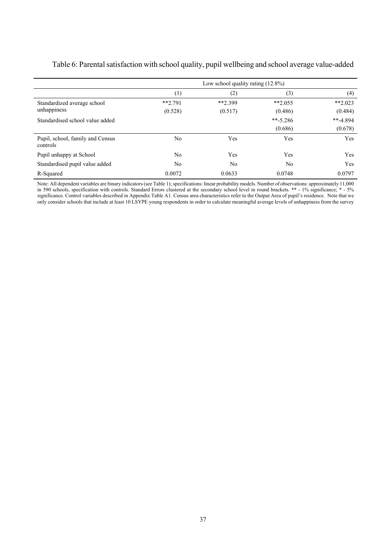|                                              | Low school quality rating $(12.8\%)$ |           |            |            |  |  |  |
|----------------------------------------------|--------------------------------------|-----------|------------|------------|--|--|--|
|                                              | (1)                                  | (2)       | (3)        | (4)        |  |  |  |
| Standardized average school                  | $**2.791$                            | $**2.399$ | $**2.055$  | $**2.023$  |  |  |  |
| unhappiness                                  | (0.528)                              | (0.517)   | (0.486)    | (0.484)    |  |  |  |
| Standardised school value added              |                                      |           | $**-5.286$ | $**-4.894$ |  |  |  |
|                                              |                                      |           | (0.686)    | (0.678)    |  |  |  |
| Pupil, school, family and Census<br>controls | N <sub>0</sub>                       | Yes       | Yes        | Yes        |  |  |  |
| Pupil unhappy at School                      | N <sub>0</sub>                       | Yes       | Yes        | Yes        |  |  |  |
| Standardised pupil value added               | No                                   | No        | No         | Yes        |  |  |  |
| R-Squared                                    | 0.0072                               | 0.0633    | 0.0748     | 0.0797     |  |  |  |

Table 6: Parental satisfaction with school quality, pupil wellbeing and school average value-added

Note: All dependent variables are binary indicators (see Table 1); specifications: linear probability models. Number of observations: approximately 11,000 in 590 schools, specification with controls. Standard Errors clustered at the secondary school level in round brackets. \*\* - 1% significance; \* - 5% significance. Control variables described in Appendix Table A1. Census area characteristics refer to the Output Area of pupil's residence. Note that we only consider schools that include at least 10 LSYPE young respondents in order to calculate meaningful average levels of unhappiness from the survey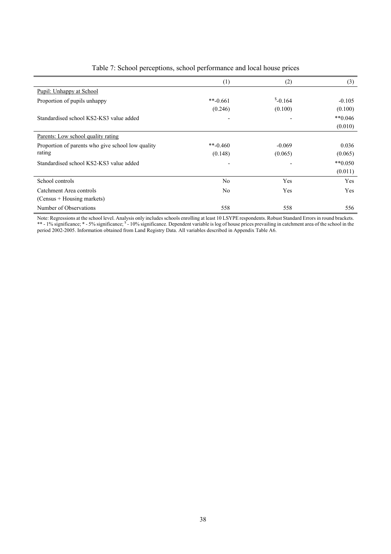|                                                   | (1)            | (2)       | (3)       |
|---------------------------------------------------|----------------|-----------|-----------|
| Pupil: Unhappy at School                          |                |           |           |
| Proportion of pupils unhappy                      | $*$ -0.661     | $$-0.164$ | $-0.105$  |
|                                                   | (0.246)        | (0.100)   | (0.100)   |
| Standardised school KS2-KS3 value added           |                |           | $**0.046$ |
|                                                   |                |           | (0.010)   |
| Parents: Low school quality rating                |                |           |           |
| Proportion of parents who give school low quality | $*$ -0.460     | $-0.069$  | 0.036     |
| rating                                            | (0.148)        | (0.065)   | (0.065)   |
| Standardised school KS2-KS3 value added           |                |           | $**0.050$ |
|                                                   |                |           | (0.011)   |
| School controls                                   | N <sub>0</sub> | Yes       | Yes       |
| Catchment Area controls                           | N <sub>0</sub> | Yes       | Yes       |
| (Census + Housing markets)                        |                |           |           |
| Number of Observations                            | 558            | 558       | 556       |

#### Table 7: School perceptions, school performance and local house prices

Note: Regressions at the school level. Analysis only includes schools enrolling at least 10 LSYPE respondents. Robust Standard Errors in round brackets. \*\* - 1% significance; \* - 5% significance;  $\frac{s}{10\%}$  significance. Dependent variable is log of house prices prevailing in catchment area of the school in the period 2002-2005. Information obtained from Land Registry Data. All variables described in Appendix Table A6.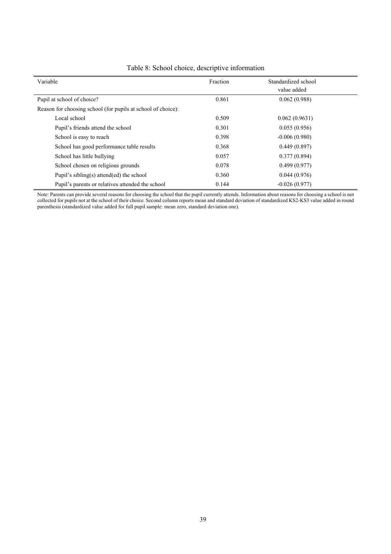| Variable                                                     | Fraction | Standardized school |
|--------------------------------------------------------------|----------|---------------------|
|                                                              |          | value added         |
| Pupil at school of choice?                                   | 0.861    | 0.062(0.988)        |
| Reason for choosing school (for pupils at school of choice): |          |                     |
| Local school                                                 | 0.509    | 0.062(0.9631)       |
| Pupil's friends attend the school                            | 0.301    | 0.055(0.956)        |
| School is easy to reach                                      | 0.398    | $-0.006(0.980)$     |
| School has good performance table results                    | 0.368    | 0.449(0.897)        |
| School has little bullying                                   | 0.057    | 0.377(0.894)        |
| School chosen on religious grounds                           | 0.078    | 0.499(0.977)        |
| Pupil's sibling(s) attend(ed) the school                     | 0.360    | 0.044(0.976)        |
| Pupil's parents or relatives attended the school             | 0.144    | $-0.026(0.977)$     |

#### Table 8: School choice, descriptive information

Note: Parents can provide several reasons for choosing the school that the pupil currently attends. Information about reasons for choosing a school is not collected for pupils not at the school of their choice. Second column reports mean and standard deviation of standardized KS2-KS3 value added in round parenthesis (standardized value added for full pupil sample: mean zero, standard deviation one).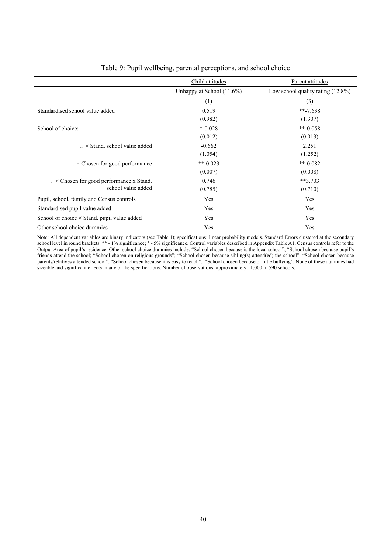|                                                    | Child attitudes              | Parent attitudes                     |
|----------------------------------------------------|------------------------------|--------------------------------------|
|                                                    | Unhappy at School $(11.6\%)$ | Low school quality rating $(12.8\%)$ |
|                                                    | (1)                          | (3)                                  |
| Standardised school value added                    | 0.519                        | $*$ <sup>-7</sup> .638               |
|                                                    | (0.982)                      | (1.307)                              |
| School of choice:                                  | $* -0.028$                   | $**-0.058$                           |
|                                                    | (0.012)                      | (0.013)                              |
| $\ldots$ × Stand, school value added               | $-0.662$                     | 2.251                                |
|                                                    | (1.054)                      | (1.252)                              |
| $\ldots$ × Chosen for good performance             | $**-0.023$                   | $**-0.082$                           |
|                                                    | (0.007)                      | (0.008)                              |
| $\ldots$ × Chosen for good performance x Stand.    | 0.746                        | $**3.703$                            |
| school value added                                 | (0.785)                      | (0.710)                              |
| Pupil, school, family and Census controls          | Yes                          | Yes                                  |
| Standardised pupil value added                     | Yes                          | Yes                                  |
| School of choice $\times$ Stand. pupil value added | Yes                          | Yes                                  |
| Other school choice dummies                        | Yes                          | Yes                                  |

#### Table 9: Pupil wellbeing, parental perceptions, and school choice

Note: All dependent variables are binary indicators (see Table 1); specifications: linear probability models. Standard Errors clustered at the secondary school level in round brackets. \*\* - 1% significance; \* - 5% significance. Control variables described in Appendix Table A1. Census controls refer to the Output Area of pupil's residence. Other school choice dummies include: "School chosen because is the local school"; "School chosen because pupil's friends attend the school; "School chosen on religious grounds"; "School chosen because sibling(s) attend(ed) the school"; "School chosen because parents/relatives attended school"; "School chosen because it is easy to reach"; "School chosen because of little bullying". None of these dummies had sizeable and significant effects in any of the specifications. Number of observations: approximately 11,000 in 590 schools.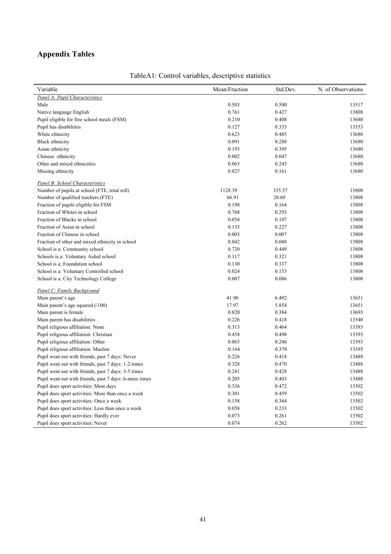# **Appendix Tables**

| Variable                                               | Mean/Fraction | Std.Dev. | N. of Observations |
|--------------------------------------------------------|---------------|----------|--------------------|
| Panel A: Pupil Characteristics                         |               |          |                    |
| Male                                                   | 0.503         | 0.500    | 13517              |
| Native language English                                | 0.761         | 0.427    | 13808              |
| Pupil eligible for free school meals (FSM)             | 0.210         | 0.408    | 13680              |
| Pupil has disabilities                                 | 0.127         | 0.333    | 13353              |
| White ethnicity                                        | 0.623         | 0.485    | 13680              |
| <b>Black ethnicity</b>                                 | 0.091         | 0.288    | 13680              |
| Asian ethnicity                                        | 0.193         | 0.395    | 13680              |
| Chinese ethnicity                                      | 0.002         | 0.047    | 13680              |
| Other and mixed ethnicities                            | 0.063         | 0.243    | 13680              |
| Missing ethnicity                                      | 0.027         | 0.161    | 13680              |
| <b>Panel B: School Characteristics</b>                 |               |          |                    |
| Number of pupils at school (FTE, total roll)           | 1128.39       | 335.57   | 13808              |
| Number of qualified teachers (FTE)                     | 66.91         | 20.69    | 13808              |
| Fraction of pupils eligible for FSM                    | 0.198         | 0.164    | 13808              |
| Fraction of Whites in school                           | 0.768         | 0.293    | 13808              |
| Fraction of Blacks in school                           | 0.054         | 0.107    | 13808              |
| Fraction of Asian in school                            | 0.133         | 0.227    | 13808              |
| Fraction of Chinese in school                          | 0.003         | 0.007    | 13808              |
| Fraction of other and mixed ethnicity in school        | 0.042         | 0.048    | 13808              |
| School is a: Community school                          | 0.720         | 0.449    | 13808              |
| Schools is a: Voluntary Aided school                   | 0.117         | 0.321    | 13808              |
| School is a: Foundation school                         | 0.130         | 0.337    | 13808              |
| School is a: Voluntary Controlled school               | 0.024         | 0.153    | 13808              |
| School is a: City Technology College                   | 0.007         | 0.086    | 13808              |
| Panel C: Family Background                             |               |          |                    |
| Main parent's age                                      | 41.90         | 6.492    | 13651              |
| Main parent's age squared (/100)                       | 17.97         | 5.854    | 13651              |
| Main parent is female                                  | 0.820         | 0.384    | 13693              |
| Main parent has disabilities                           | 0.226         | 0.418    | 13540              |
| Pupil religious affiliation: None                      | 0.313         | 0.464    | 13393              |
| Pupil religious affiliation: Christian                 | 0.458         | 0.498    | 13393              |
| Pupil religious affiliation: Other                     | 0.065         | 0.246    | 13393              |
| Pupil religious affiliation: Muslim                    | 0.164         | 0.370    | 13393              |
| Pupil went out with friends, past 7 days: Never        | 0.226         | 0.418    | 13488              |
| Pupil went out with friends, past 7 days: 1-2 times    | 0.328         | 0.470    | 13488              |
| Pupil went out with friends, past 7 days: 3-5 times    | 0.241         | 0.428    | 13488              |
| Pupil went out with friends, past 7 days: 6-more times | 0.205         | 0.403    | 13488              |
| Pupil does sport activities: Most days                 | 0.336         | 0.472    | 13502              |
| Pupil does sport activities: More than once a week     | 0.301         | 0.459    | 13502              |
| Pupil does sport activities: Once a week               | 0.158         | 0.364    | 13502              |
| Pupil does sport activities: Less than once a week     | 0.058         | 0.233    | 13502              |
| Pupil does sport activities: Hardly ever               | 0.073         | 0.261    | 13502              |
| Pupil does sport activities: Never                     | 0.074         | 0.262    | 13502              |

# TableA1: Control variables, descriptive statistics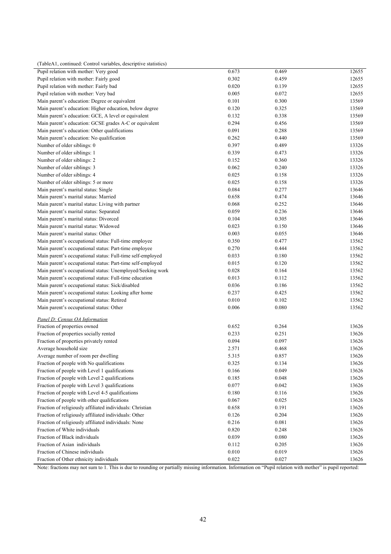| (TableA1, continued: Control variables, descriptive statistics)                   |       |       |       |
|-----------------------------------------------------------------------------------|-------|-------|-------|
| Pupil relation with mother: Very good                                             | 0.673 | 0.469 | 12655 |
| Pupil relation with mother: Fairly good                                           | 0.302 | 0.459 | 12655 |
| Pupil relation with mother: Fairly bad                                            | 0.020 | 0.139 | 12655 |
| Pupil relation with mother: Very bad                                              | 0.005 | 0.072 | 12655 |
| Main parent's education: Degree or equivalent                                     | 0.101 | 0.300 | 13569 |
| Main parent's education: Higher education, below degree                           | 0.120 | 0.325 | 13569 |
| Main parent's education: GCE, A level or equivalent                               | 0.132 | 0.338 | 13569 |
| Main parent's education: GCSE grades A-C or equivalent                            | 0.294 | 0.456 | 13569 |
| Main parent's education: Other qualifications                                     | 0.091 | 0.288 | 13569 |
| Main parent's education: No qualification                                         | 0.262 | 0.440 | 13569 |
| Number of older siblings: 0                                                       | 0.397 | 0.489 | 13326 |
| Number of older siblings: 1                                                       | 0.339 | 0.473 | 13326 |
| Number of older siblings: 2                                                       | 0.152 | 0.360 | 13326 |
| Number of older siblings: 3                                                       | 0.062 | 0.240 | 13326 |
| Number of older siblings: 4                                                       | 0.025 | 0.158 | 13326 |
| Number of older siblings: 5 or more                                               | 0.025 | 0.158 | 13326 |
| Main parent's marital status: Single                                              | 0.084 | 0.277 | 13646 |
| Main parent's marital status: Married                                             | 0.658 | 0.474 | 13646 |
| Main parent's marital status: Living with partner                                 | 0.068 | 0.252 | 13646 |
| Main parent's marital status: Separated                                           | 0.059 | 0.236 | 13646 |
| Main parent's marital status: Divorced                                            | 0.104 | 0.305 | 13646 |
| Main parent's marital status: Widowed                                             | 0.023 | 0.150 | 13646 |
| Main parent's marital status: Other                                               | 0.003 | 0.055 | 13646 |
| Main parent's occupational status: Full-time employee                             | 0.350 | 0.477 | 13562 |
| Main parent's occupational status: Part-time employee                             | 0.270 | 0.444 | 13562 |
| Main parent's occupational status: Full-time self-employed                        | 0.033 | 0.180 | 13562 |
| Main parent's occupational status: Part-time self-employed                        | 0.015 | 0.120 | 13562 |
| Main parent's occupational status: Unemployed/Seeking work                        | 0.028 | 0.164 | 13562 |
| Main parent's occupational status: Full-time education                            | 0.013 | 0.112 | 13562 |
| Main parent's occupational status: Sick/disabled                                  | 0.036 | 0.186 | 13562 |
| Main parent's occupational status: Looking after home                             | 0.237 | 0.425 | 13562 |
| Main parent's occupational status: Retired                                        | 0.010 | 0.102 | 13562 |
| Main parent's occupational status: Other                                          | 0.006 | 0.080 | 13562 |
|                                                                                   |       |       |       |
| Panel D: Census OA Information<br>Fraction of properties owned                    | 0.652 | 0.264 | 13626 |
|                                                                                   | 0.233 | 0.251 | 13626 |
| Fraction of properties socially rented<br>Fraction of properties privately rented | 0.094 | 0.097 | 13626 |
|                                                                                   |       |       |       |
| Average household size                                                            | 2.571 | 0.468 | 13626 |
| Average number of room per dwelling                                               | 5.315 | 0.857 | 13626 |
| Fraction of people with No qualifications                                         | 0.325 | 0.134 | 13626 |
| Fraction of people with Level 1 qualifications                                    | 0.166 | 0.049 | 13626 |
| Fraction of people with Level 2 qualifications                                    | 0.185 | 0.048 | 13626 |
| Fraction of people with Level 3 qualifications                                    | 0.077 | 0.042 | 13626 |
| Fraction of people with Level 4-5 qualifications                                  | 0.180 | 0.116 | 13626 |
| Fraction of people with other qualifications                                      | 0.067 | 0.025 | 13626 |
| Fraction of religiously affiliated individuals: Christian                         | 0.658 | 0.191 | 13626 |
| Fraction of religiously affiliated individuals: Other                             | 0.126 | 0.204 | 13626 |
| Fraction of religiously affiliated individuals: None                              | 0.216 | 0.081 | 13626 |
| Fraction of White individuals                                                     | 0.820 | 0.248 | 13626 |
| Fraction of Black individuals                                                     | 0.039 | 0.080 | 13626 |
| Fraction of Asian individuals                                                     | 0.112 | 0.205 | 13626 |
| Fraction of Chinese individuals                                                   | 0.010 | 0.019 | 13626 |
| Fraction of Other ethnicity individuals                                           | 0.022 | 0.027 | 13626 |

Note: fractions may not sum to 1. This is due to rounding or partially missing information. Information on "Pupil relation with mother" is pupil reported: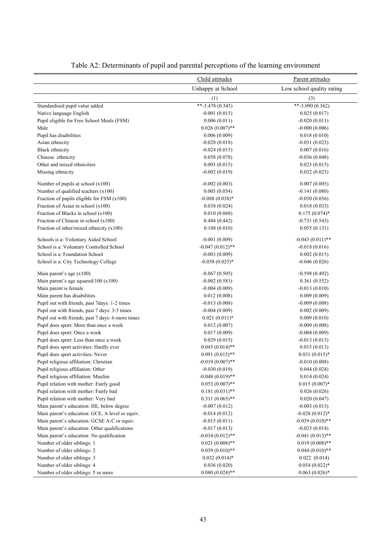|                                                   | Child attitudes    | Parent attitudes          |
|---------------------------------------------------|--------------------|---------------------------|
|                                                   | Unhappy at School  | Low school quality rating |
|                                                   | (1)                | (3)                       |
| Standardised pupil value added                    | $*$ -3.478 (0.345) | $**-3.090(0.362)$         |
| Native language English                           | $-0.001(0.015)$    | 0.025(0.017)              |
| Pupil eligible for Free School Meals (FSM)        | 0.006(0.011)       | $-0.020(0.011)$           |
| Male                                              | $0.026(0.007)$ **  | $-0.000(0.006)$           |
| Pupil has disabilities                            | 0.006(0.009)       | 0.018(0.010)              |
| Asian ethnicity                                   | $-0.028(0.018)$    | $-0.031(0.023)$           |
| <b>Black</b> ethnicity                            | $-0.024(0.015)$    | 0.007(0.016)              |
| Chinese ethnicity                                 | 0.058(0.078)       | $-0.036(0.048)$           |
| Other and mixed ethnicities                       | 0.003(0.015)       | 0.023(0.015)              |
| Missing ethnicity                                 | $-0.002(0.019)$    | 0.032(0.025)              |
|                                                   |                    |                           |
| Number of pupils at school $(x100)$               | $-0.002(0.003)$    | 0.007(0.005)              |
| Number of qualified teachers (x100)               | 0.005(0.054)       | $-0.141(0.080)$           |
| Fraction of pupils eligible for FSM (x100)        | $-0.088(0.038)*$   | $-0.030(0.056)$           |
| Fraction of Asian in school $(x100)$              | 0.038(0.024)       | 0.018(0.033)              |
| Fraction of Blacks in school (x100)               | 0.010(0.068)       | $0.175(0.074)$ *          |
| Fraction of Chinese in school $(x100)$            | 0.484(0.442)       | $-0.731(0.543)$           |
| Fraction of other/mixed ethnicity (x100)          | 0.108(0.010)       | 0.055(0.131)              |
| Schools is a: Voluntary Aided School              | $-0.001(0.009)$    | $-0.043(0.011)$ **        |
| School is a: Voluntary Controlled School          | $-0.047(0.012)$ ** | $-0.018(0.016)$           |
| School is a: Foundation School                    | $-0.003(0.009)$    | 0.002(0.015)              |
| School is a: City Technology College              | $-0.058(0.025)$ *  | $-0.046(0.026)$           |
| Main parent's age $(x100)$                        | $-0.067(0.505)$    | $-0.598(0.492)$           |
| Main parent's age squared/100 $(x100)$            | $-0.002(0.581)$    | 0.361(0.552)              |
| Main parent is female                             | $-0.004(0.009)$    | $-0.013(0.010)$           |
| Main parent has disabilities                      | 0.012(0.008)       | 0.009(0.009)              |
| Pupil out with friends, past 7days: 1-2 times     | $-0.013(0.008)$    | $-0.009(0.008)$           |
| Pupil out with friends, past 7 days: 3-5 times    | $-0.004(0.009)$    | 0.002(0.009)              |
| Pupil out with friends, past 7 days: 6-more times | $0.021(0.011)*$    | 0.009(0.010)              |
| Pupil does sport: More than once a week           | 0.012(0.007)       | $-0.009(0.008)$           |
| Pupil does sport: Once a week                     | 0.017(0.009)       | $-0.004(0.009)$           |
| Pupil does sport: Less than once a week           | 0.029(0.015)       | $-0.013(0.013)$           |
| Pupil does sport activities: Hardly ever          | $0.045(0.014)$ **  | 0.015(0.013)              |
| Pupil does sport activities: Never                | $0.091(0.015)$ **  | $0.031(0.015)*$           |
| Pupil religious affiliation: Christian            | $-0.019(0.007)$ ** | $-0.010(0.008)$           |
| Pupil religious affiliation: Other                | $-0.030(0.019)$    | 0.044(0.024)              |
| Pupil religious affiliation: Muslim               | $-0.048(0.019)$ ** | 0.014(0.024)              |
| Pupil relation with mother: Fairly good           | $0.053(0.007)$ **  | $0.015(0.007)*$           |
| Pupil relation with mother: Fairly bad            | $0.181(0.031)$ **  | 0.026(0.026)              |
| Pupil relation with mother: Very bad              | $0.311(0.065)$ **  | 0.020(0.047)              |
| Main parent's education: HE, below degree         | $-0.007(0.012)$    | $-0.003(0.013)$           |
| Main parent's education: GCE, A level or equiv.   | $-0.014(0.012)$    | $-0.028(0.012)*$          |
| Main parent's education: GCSE A-C or equiv.       | $-0.015(0.011)$    | $-0.039(0.010)$ **        |
| Main parent's education: Other qualifications     | $-0.017(0.013)$    | $-0.025(0.014)$           |
| Main parent's education: No qualification         | $-0.034(0.012)$ ** | $-0.041(0.013)$ **        |
| Number of older siblings: 1                       | $0.021(0.008)$ **  | $0.019(0.008)$ **         |
| Number of older siblings: 2                       | $0.039(0.010)**$   | $0.044(0.010)$ **         |
| Number of older siblings: 3                       | $0.032(0.014)$ *   | 0.022(0.014)              |
| Number of older siblings: 4                       | 0.036(0.020)       | $0.054(0.022)*$           |
| Number of older siblings: 5 or more               | $0.080(0.024)$ **  | $0.063(0.026)*$           |

# Table A2: Determinants of pupil and parental perceptions of the learning environment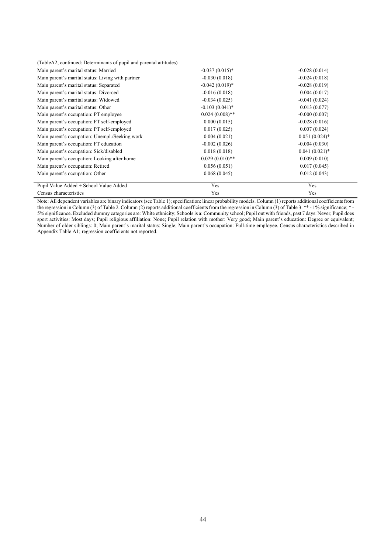(TableA2, continued: Determinants of pupil and parental attitudes)

| Main parent's marital status: Married             | $-0.037(0.015)$ * | $-0.028(0.014)$  |
|---------------------------------------------------|-------------------|------------------|
| Main parent's marital status: Living with partner | $-0.030(0.018)$   | $-0.024(0.018)$  |
| Main parent's marital status: Separated           | $-0.042(0.019)$ * | $-0.028(0.019)$  |
| Main parent's marital status: Divorced            | $-0.016(0.018)$   | 0.004(0.017)     |
| Main parent's marital status: Widowed             | $-0.034(0.025)$   | $-0.041(0.024)$  |
| Main parent's marital status: Other               | $-0.103(0.041)$ * | 0.013(0.077)     |
| Main parent's occupation: PT employee             | $0.024(0.008)$ ** | $-0.000(0.007)$  |
| Main parent's occupation: FT self-employed        | 0.000(0.015)      | $-0.028(0.016)$  |
| Main parent's occupation: PT self-employed        | 0.017(0.025)      | 0.007(0.024)     |
| Main parent's occupation: Unempl./Seeking work    | 0.004(0.021)      | $0.051(0.024)$ * |
| Main parent's occupation: FT education            | $-0.002(0.026)$   | $-0.004(0.030)$  |
| Main parent's occupation: Sick/disabled           | 0.018(0.018)      | $0.041(0.021)$ * |
| Main parent's occupation: Looking after home      | $0.029(0.010)**$  | 0.009(0.010)     |
| Main parent's occupation: Retired                 | 0.056(0.051)      | 0.017(0.045)     |
| Main parent's occupation: Other                   | 0.068(0.045)      | 0.012(0.043)     |
| Pupil Value Added + School Value Added            | Yes               | Yes              |
| Census characteristics                            | Yes               | Yes              |

Note: All dependent variables are binary indicators (see Table 1); specification: linear probability models. Column (1) reports additional coefficients from the regression in Column (3) of Table 2. Column (2) reports additional coefficients from the regression in Column (3) of Table 3. \*\* - 1% significance; \* - 5% significance. Excluded dummy categories are: White ethnicity; Schools is a: Community school; Pupil out with friends, past 7 days: Never; Pupil does sport activities: Most days; Pupil religious affiliation: None; Pupil relation with mother: Very good; Main parent's education: Degree or equivalent; Number of older siblings: 0; Main parent's marital status: Single; Main parent's occupation: Full-time employee. Census characteristics described in Appendix Table A1; regression coefficients not reported.